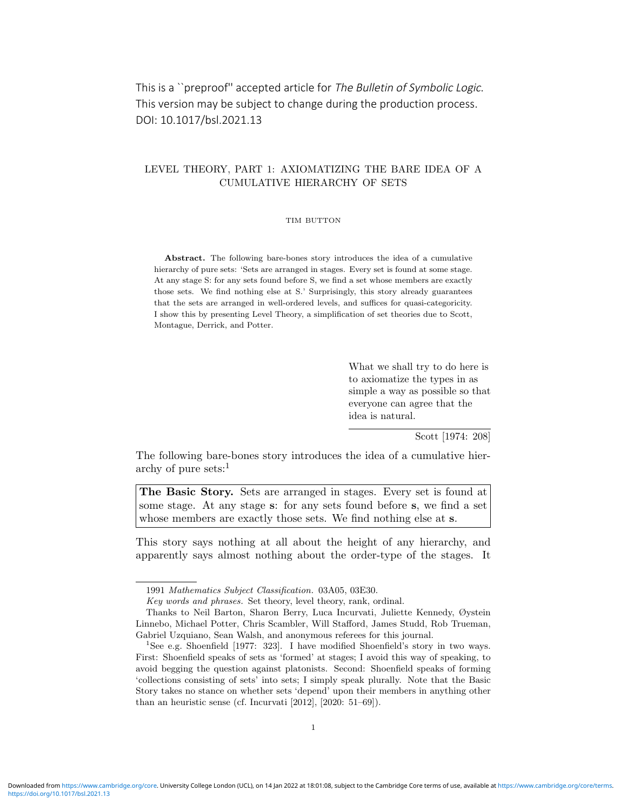# This is a ``preproof'' accepted article for The Bulletin of Symbolic Logic. This version may be subject to change during the production process. DOI: 10.1017/bsl.2021.13

# LEVEL THEORY, PART 1: AXIOMATIZING THE BARE IDEA OF A CUMULATIVE HIERARCHY OF SETS

## TIM BUTTON

Abstract. The following bare-bones story introduces the idea of a cumulative hierarchy of pure sets: 'Sets are arranged in stages. Every set is found at some stage. At any stage S: for any sets found before S, we find a set whose members are exactly those sets. We find nothing else at S.' Surprisingly, this story already guarantees that the sets are arranged in well-ordered levels, and suffices for quasi-categoricity. I show this by presenting Level Theory, a simplification of set theories due to Scott, Montague, Derrick, and Potter.

> What we shall try to do here is to axiomatize the types in as simple a way as possible so that everyone can agree that the idea is natural.

> > Scott [1974: 208]

The following bare-bones story introduces the idea of a cumulative hierarchy of pure sets: $<sup>1</sup>$ </sup>

The Basic Story. Sets are arranged in stages. Every set is found at some stage. At any stage s: for any sets found before s, we find a set whose members are exactly those sets. We find nothing else at s.

This story says nothing at all about the height of any hierarchy, and apparently says almost nothing about the order-type of the stages. It

<sup>1991</sup> Mathematics Subject Classification. 03A05, 03E30.

Key words and phrases. Set theory, level theory, rank, ordinal.

Thanks to Neil Barton, Sharon Berry, Luca Incurvati, Juliette Kennedy, Øystein Linnebo, Michael Potter, Chris Scambler, Will Stafford, James Studd, Rob Trueman, Gabriel Uzquiano, Sean Walsh, and anonymous referees for this journal.

<sup>1</sup>See e.g. Shoenfield [1977: 323]. I have modified Shoenfield's story in two ways. First: Shoenfield speaks of sets as 'formed' at stages; I avoid this way of speaking, to avoid begging the question against platonists. Second: Shoenfield speaks of forming 'collections consisting of sets' into sets; I simply speak plurally. Note that the Basic Story takes no stance on whether sets 'depend' upon their members in anything other than an heuristic sense (cf. Incurvati  $[2012]$ ,  $[2020: 51-69]$ ).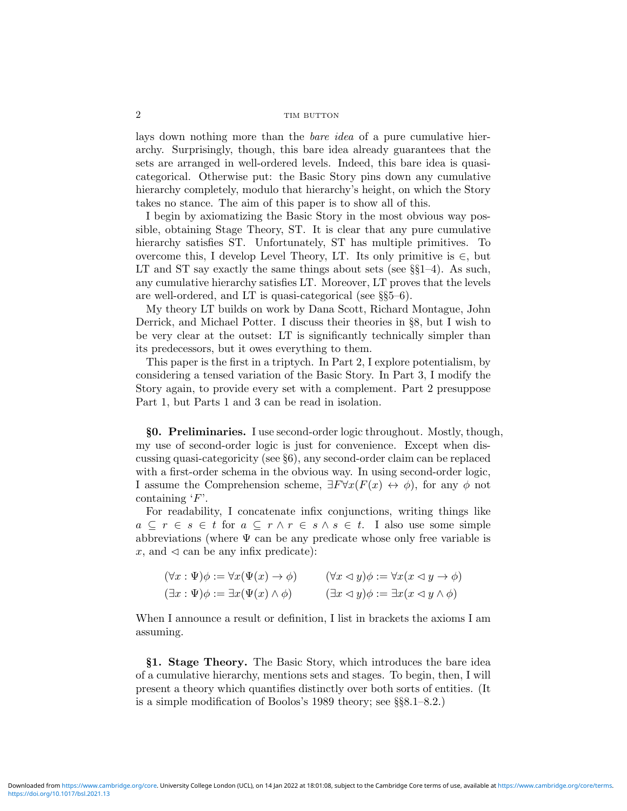lays down nothing more than the *bare idea* of a pure cumulative hierarchy. Surprisingly, though, this bare idea already guarantees that the sets are arranged in well-ordered levels. Indeed, this bare idea is quasicategorical. Otherwise put: the Basic Story pins down any cumulative hierarchy completely, modulo that hierarchy's height, on which the Story takes no stance. The aim of this paper is to show all of this.

I begin by axiomatizing the Basic Story in the most obvious way possible, obtaining Stage Theory, ST. It is clear that any pure cumulative hierarchy satisfies ST. Unfortunately, ST has multiple primitives. To overcome this, I develop Level Theory, LT. Its only primitive is  $\in$ , but LT and ST say exactly the same things about sets (see  $\S$ §1–4). As such, any cumulative hierarchy satisfies LT. Moreover, LT proves that the levels are well-ordered, and LT is quasi-categorical (see §§5–6).

My theory LT builds on work by Dana Scott, Richard Montague, John Derrick, and Michael Potter. I discuss their theories in §8, but I wish to be very clear at the outset: LT is significantly technically simpler than its predecessors, but it owes everything to them.

This paper is the first in a triptych. In Part 2, I explore potentialism, by considering a tensed variation of the Basic Story. In Part 3, I modify the Story again, to provide every set with a complement. Part 2 presuppose Part 1, but Parts 1 and 3 can be read in isolation.

§0. Preliminaries. I use second-order logic throughout. Mostly, though, my use of second-order logic is just for convenience. Except when discussing quasi-categoricity (see §6), any second-order claim can be replaced with a first-order schema in the obvious way. In using second-order logic, I assume the Comprehension scheme,  $\exists F \forall x (F(x) \leftrightarrow \phi)$ , for any  $\phi$  not containing  $F$ .

For readability, I concatenate infix conjunctions, writing things like  $a \subseteq r \in s \in t$  for  $a \subseteq r \land r \in s \land s \in t$ . I also use some simple abbreviations (where  $\Psi$  can be any predicate whose only free variable is  $x$ , and  $\triangleleft$  can be any infix predicate):

| $(\forall x : \Psi)\phi := \forall x(\Psi(x) \rightarrow \phi)$ | $(\forall x \triangleleft y)\phi := \forall x(x \triangleleft y \rightarrow \phi)$ |
|-----------------------------------------------------------------|------------------------------------------------------------------------------------|
| $(\exists x : \Psi)\phi := \exists x(\Psi(x) \land \phi)$       | $(\exists x \triangleleft y)\phi := \exists x(x \triangleleft y \wedge \phi)$      |

When I announce a result or definition, I list in brackets the axioms I am assuming.

§1. Stage Theory. The Basic Story, which introduces the bare idea of a cumulative hierarchy, mentions sets and stages. To begin, then, I will present a theory which quantifies distinctly over both sorts of entities. (It is a simple modification of Boolos's 1989 theory; see §§8.1–8.2.)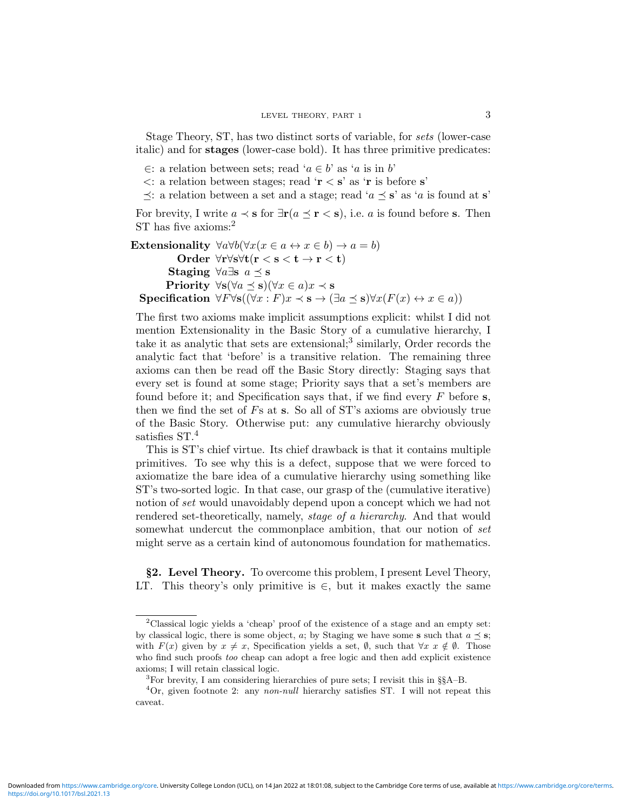Stage Theory, ST, has two distinct sorts of variable, for sets (lower-case italic) and for stages (lower-case bold). It has three primitive predicates:

- ∈: a relation between sets; read 'a ∈ b' as 'a is in b'
- $\lt$ : a relation between stages; read ' $\mathbf{r} \lt \mathbf{s}'$  as ' $\mathbf{r}$  is before s'
- $\preceq$ : a relation between a set and a stage; read 'a  $\preceq$  s' as 'a is found at s'

For brevity, I write  $a \prec s$  for  $\exists r (a \preceq r \prec s)$ , i.e. a is found before s. Then ST has five axioms:<sup>2</sup>

Extensionality  $\forall a \forall b (\forall x (x \in a \leftrightarrow x \in b) \rightarrow a = b)$ Order ∀r∀s∀t(r < s < t → r < t) Staging  $\forall a \exists s \ a \prec s$ Priority  $\forall$ s $(\forall a \leq s)(\forall x \in a)x \prec s$ Specification  $\forall F\forall s((\forall x : F)x \prec s \rightarrow (\exists a \preceq s)\forall x(F(x) \leftrightarrow x \in a))$ 

The first two axioms make implicit assumptions explicit: whilst I did not mention Extensionality in the Basic Story of a cumulative hierarchy, I take it as analytic that sets are extensional;<sup>3</sup> similarly, Order records the analytic fact that 'before' is a transitive relation. The remaining three axioms can then be read off the Basic Story directly: Staging says that every set is found at some stage; Priority says that a set's members are found before it; and Specification says that, if we find every  $F$  before s, then we find the set of Fs at s. So all of ST's axioms are obviously true of the Basic Story. Otherwise put: any cumulative hierarchy obviously satisfies  $ST<sup>4</sup>$ 

This is ST's chief virtue. Its chief drawback is that it contains multiple primitives. To see why this is a defect, suppose that we were forced to axiomatize the bare idea of a cumulative hierarchy using something like ST's two-sorted logic. In that case, our grasp of the (cumulative iterative) notion of set would unavoidably depend upon a concept which we had not rendered set-theoretically, namely, stage of a hierarchy. And that would somewhat undercut the commonplace ambition, that our notion of set might serve as a certain kind of autonomous foundation for mathematics.

§2. Level Theory. To overcome this problem, I present Level Theory, LT. This theory's only primitive is  $\in$ , but it makes exactly the same

<sup>&</sup>lt;sup>2</sup>Classical logic yields a 'cheap' proof of the existence of a stage and an empty set: by classical logic, there is some object, a; by Staging we have some **s** such that  $a \preceq s$ ; with  $F(x)$  given by  $x \neq x$ , Specification yields a set, Ø, such that  $\forall x \ x \notin \emptyset$ . Those who find such proofs too cheap can adopt a free logic and then add explicit existence axioms; I will retain classical logic.

<sup>&</sup>lt;sup>3</sup>For brevity, I am considering hierarchies of pure sets; I revisit this in  $\S$  $A-B$ .

 ${}^{4}$ Or, given footnote 2: any non-null hierarchy satisfies ST. I will not repeat this caveat.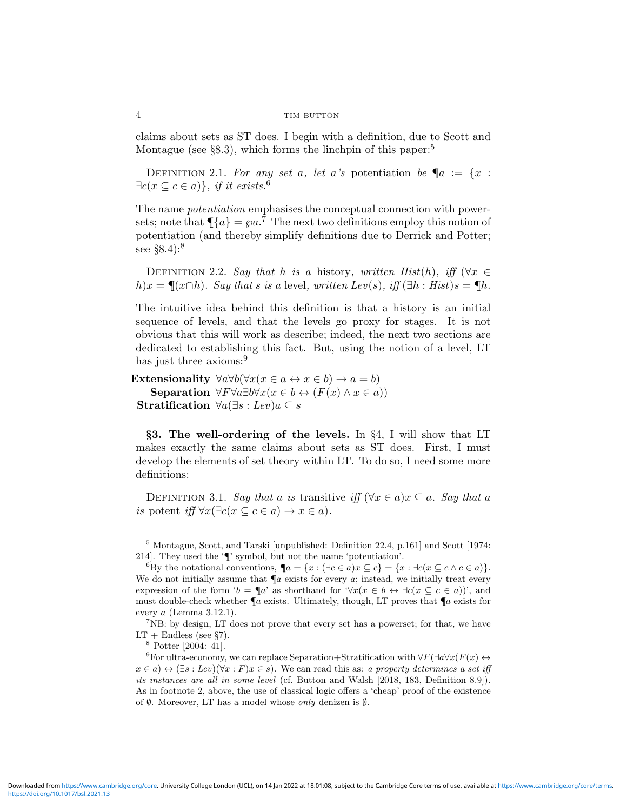claims about sets as ST does. I begin with a definition, due to Scott and Montague (see  $\S 8.3$ ), which forms the linchpin of this paper:<sup>5</sup>

DEFINITION 2.1. For any set a, let a's potentiation be  $\P_a := \{x :$  $\exists c(x \subseteq c \in a) \}, \text{ if it exists.}$ <sup>6</sup>

The name *potentiation* emphasises the conceptual connection with powersets; note that  $\P{a} = \varphi a$ .<sup>7</sup> The next two definitions employ this notion of potentiation (and thereby simplify definitions due to Derrick and Potter; see  $\S 8.4$ :<sup>8</sup>

DEFINITION 2.2. Say that h is a history, written Hist $(h)$ , iff  $(\forall x \in$ h)x =  $\P(x \cap h)$ . Say that s is a level, written Lev(s), iff  $(\exists h : Hist) s = \P h$ .

The intuitive idea behind this definition is that a history is an initial sequence of levels, and that the levels go proxy for stages. It is not obvious that this will work as describe; indeed, the next two sections are dedicated to establishing this fact. But, using the notion of a level, LT has just three axioms:<sup>9</sup>

Extensionality  $\forall a \forall b (\forall x (x \in a \leftrightarrow x \in b) \rightarrow a = b)$ Separation  $\forall F \forall a \exists b \forall x (x \in b \leftrightarrow (F(x) \land x \in a))$ Stratification  $\forall a(\exists s : Lev)a \subseteq s$ 

§3. The well-ordering of the levels. In §4, I will show that LT makes exactly the same claims about sets as ST does. First, I must develop the elements of set theory within LT. To do so, I need some more definitions:

DEFINITION 3.1. Say that a is transitive iff  $(\forall x \in a) x \subseteq a$ . Say that a is potent iff  $\forall x(\exists c(x \subseteq c \in a) \rightarrow x \in a).$ 

<sup>5</sup> Montague, Scott, and Tarski [unpublished: Definition 22.4, p.161] and Scott [1974: 214]. They used the '¶' symbol, but not the name 'potentiation'.

<sup>&</sup>lt;sup>6</sup>By the notational conventions,  $\P a = \{x : (\exists c \in a) x \subseteq c\} = \{x : \exists c(x \subseteq c \land c \in a)\}.$ We do not initially assume that  $\P$ a exists for every a; instead, we initially treat every expression of the form ' $b = \P a$ ' as shorthand for ' $\forall x (x \in b \leftrightarrow \exists c (x \subseteq c \in a))$ ', and must double-check whether  $\P$ a exists. Ultimately, though, LT proves that  $\P$ a exists for every  $a$  (Lemma 3.12.1).

<sup>&</sup>lt;sup>7</sup>NB: by design, LT does not prove that every set has a powerset; for that, we have  $LT +$  Endless (see §7).

<sup>8</sup> Potter [2004: 41].

<sup>&</sup>lt;sup>9</sup>For ultra-economy, we can replace Separation+Stratification with  $\forall F(\exists a \forall x (F(x) \leftrightarrow$  $x \in a$ )  $\leftrightarrow (\exists s : Lev)(\forall x : F)x \in s)$ . We can read this as: a property determines a set iff its instances are all in some level (cf. Button and Walsh [2018, 183, Definition 8.9]). As in footnote 2, above, the use of classical logic offers a 'cheap' proof of the existence of  $\emptyset$ . Moreover, LT has a model whose *only* denizen is  $\emptyset$ .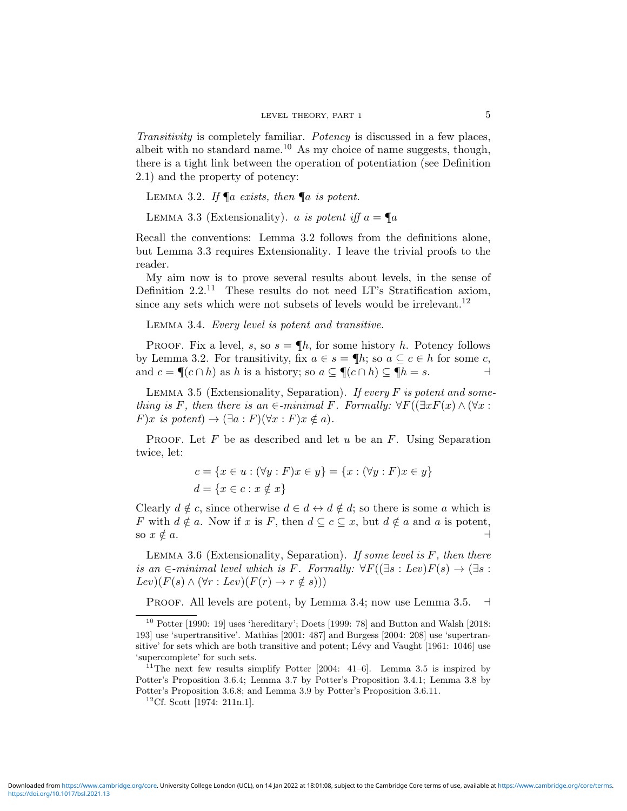Transitivity is completely familiar. Potency is discussed in a few places, albeit with no standard name.<sup>10</sup> As my choice of name suggests, though, there is a tight link between the operation of potentiation (see Definition 2.1) and the property of potency:

LEMMA 3.2. If  $\P a$  exists, then  $\P a$  is potent.

LEMMA 3.3 (Extensionality). a is potent iff  $a = \P a$ 

Recall the conventions: Lemma 3.2 follows from the definitions alone, but Lemma 3.3 requires Extensionality. I leave the trivial proofs to the reader.

My aim now is to prove several results about levels, in the sense of Definition  $2.2^{11}$  These results do not need LT's Stratification axiom, since any sets which were not subsets of levels would be irrelevant.<sup>12</sup>

Lemma 3.4. Every level is potent and transitive.

PROOF. Fix a level, s, so  $s = \P h$ , for some history h. Potency follows by Lemma 3.2. For transitivity, fix  $a \in s = \P h$ ; so  $a \subseteq c \in h$  for some c, and  $c = \P(c \cap h)$  as h is a history; so  $a \subseteq \P(c \cap h) \subseteq \P h = s$ .

LEMMA 3.5 (Extensionality, Separation). If every  $F$  is potent and something is F, then there is an  $\in$ -minimal F. Formally:  $\forall F((\exists x F(x) \land (\forall x$ :  $F(x \text{ is } potent) \rightarrow (\exists a : F)(\forall x : F)x \notin a).$ 

PROOF. Let  $F$  be as described and let  $u$  be an  $F$ . Using Separation twice, let:

$$
c = \{x \in u : (\forall y : F)x \in y\} = \{x : (\forall y : F)x \in y\}
$$

$$
d = \{x \in c : x \notin x\}
$$

Clearly  $d \notin c$ , since otherwise  $d \in d \leftrightarrow d \notin d$ ; so there is some a which is F with  $d \notin a$ . Now if x is F, then  $d \subseteq c \subseteq x$ , but  $d \notin a$  and a is potent, so  $x \notin a$ .

LEMMA 3.6 (Extensionality, Separation). If some level is  $F$ , then there is an  $\in$ -minimal level which is F. Formally:  $\forall F((\exists s : Lev)F(s) \rightarrow (\exists s :$  $Lev)(F(s) \wedge (\forall r : Lev)(F(r) \rightarrow r \notin s)))$ 

PROOF. All levels are potent, by Lemma 3.4; now use Lemma 3.5.  $\exists$ 

 $10$  Potter [1990: 19] uses 'hereditary'; Doets [1999: 78] and Button and Walsh [2018: 193] use 'supertransitive'. Mathias [2001: 487] and Burgess [2004: 208] use 'supertransitive' for sets which are both transitive and potent; Lévy and Vaught  $[1961: 1046]$  use 'supercomplete' for such sets.

 $11$ The next few results simplify Potter [2004: 41-6]. Lemma 3.5 is inspired by Potter's Proposition 3.6.4; Lemma 3.7 by Potter's Proposition 3.4.1; Lemma 3.8 by Potter's Proposition 3.6.8; and Lemma 3.9 by Potter's Proposition 3.6.11.

<sup>12</sup>Cf. Scott [1974: 211n.1].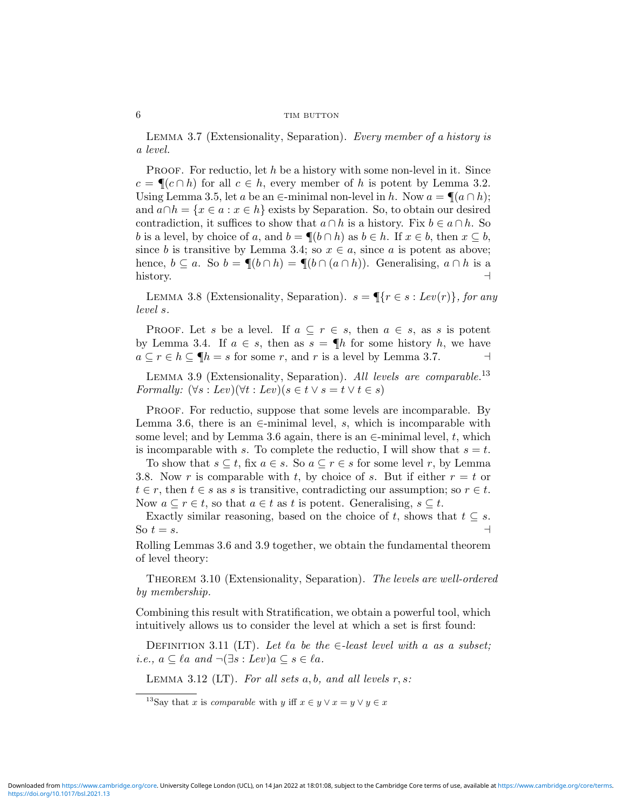LEMMA 3.7 (Extensionality, Separation). Every member of a history is a level.

**PROOF.** For reductio, let h be a history with some non-level in it. Since  $c = \P(c \cap h)$  for all  $c \in h$ , every member of h is potent by Lemma 3.2. Using Lemma 3.5, let a be an  $\in$ -minimal non-level in h. Now  $a = \P(a \cap h);$ and  $a \cap h = \{x \in a : x \in h\}$  exists by Separation. So, to obtain our desired contradiction, it suffices to show that  $a \cap h$  is a history. Fix  $b \in a \cap h$ . So b is a level, by choice of a, and  $b = \P(b \cap h)$  as  $b \in h$ . If  $x \in b$ , then  $x \subseteq b$ , since b is transitive by Lemma 3.4; so  $x \in a$ , since a is potent as above; hence,  $b \subseteq a$ . So  $b = \P(b \cap h) = \P(b \cap (a \cap h))$ . Generalising,  $a \cap h$  is a history.

LEMMA 3.8 (Extensionality, Separation).  $s = \P\{r \in s : Lev(r)\}\$ , for any level s.

PROOF. Let s be a level. If  $a \subseteq r \in s$ , then  $a \in s$ , as s is potent by Lemma 3.4. If  $a \in s$ , then as  $s = \P h$  for some history h, we have  $a \subseteq r \in h \subseteq \P$  is a for some r, and r is a level by Lemma 3.7.

LEMMA 3.9 (Extensionality, Separation). All levels are comparable.<sup>13</sup> Formally:  $(\forall s : Lev)(\forall t : Lev)(s \in t \vee s = t \vee t \in s)$ 

PROOF. For reductio, suppose that some levels are incomparable. By Lemma 3.6, there is an  $\in$ -minimal level, s, which is incomparable with some level; and by Lemma 3.6 again, there is an  $\in$ -minimal level, t, which is incomparable with s. To complete the reductio, I will show that  $s = t$ .

To show that  $s \subseteq t$ , fix  $a \in s$ . So  $a \subseteq r \in s$  for some level r, by Lemma 3.8. Now r is comparable with t, by choice of s. But if either  $r = t$  or  $t \in r$ , then  $t \in s$  as s is transitive, contradicting our assumption; so  $r \in t$ . Now  $a \subseteq r \in t$ , so that  $a \in t$  as t is potent. Generalising,  $s \subseteq t$ .

Exactly similar reasoning, based on the choice of t, shows that  $t \subseteq s$ . So  $t = s$ .

Rolling Lemmas 3.6 and 3.9 together, we obtain the fundamental theorem of level theory:

THEOREM 3.10 (Extensionality, Separation). The levels are well-ordered by membership.

Combining this result with Stratification, we obtain a powerful tool, which intuitively allows us to consider the level at which a set is first found:

DEFINITION 3.11 (LT). Let  $\ell a$  be the  $\in$ -least level with a as a subset; i.e.,  $a \subseteq \ell a$  and  $\neg(\exists s : Lev)a \subseteq s \in \ell a$ .

LEMMA 3.12 (LT). For all sets  $a, b, and all levels r, s$ :

<sup>13</sup>Say that x is *comparable* with y iff  $x \in y \lor x = y \lor y \in x$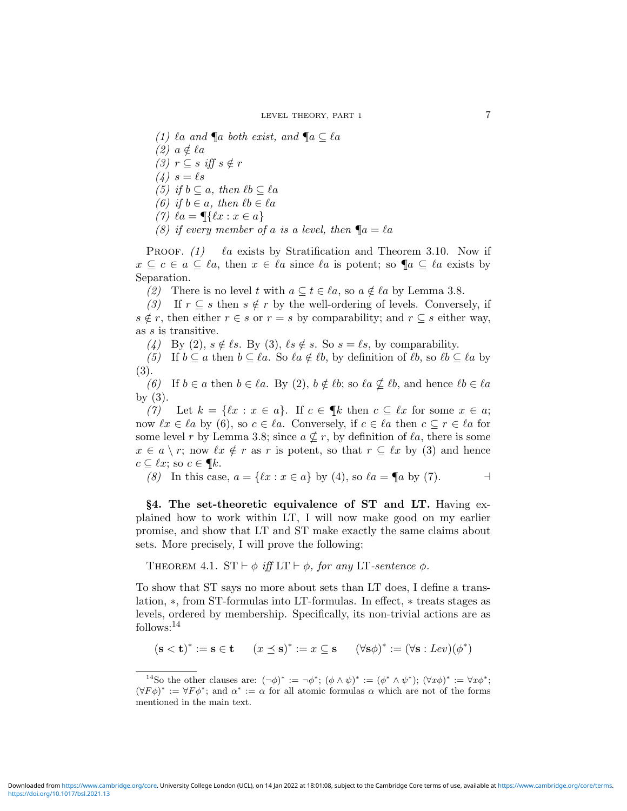(1)  $\ell a$  and  $\P a$  both exist, and  $\P a \subseteq \ell a$  $(2)$   $a \notin \ell a$ (3)  $r \subseteq s$  iff  $s \notin r$  $(4) s = \ell s$ (5) if  $b \subseteq a$ , then  $\ell b \subseteq \ell a$ (6) if  $b \in a$ , then  $\ell b \in \ell a$ (7)  $\ell a = \P\{ \ell x : x \in a \}$ (8) if every member of a is a level, then  $\P_a = \ell a$ 

PROOF.  $(1)$  a exists by Stratification and Theorem 3.10. Now if  $x \subseteq c \in a \subseteq \ell a$ , then  $x \in \ell a$  since  $\ell a$  is potent; so  $\P a \subseteq \ell a$  exists by Separation.

(2) There is no level t with  $a \subseteq t \in \ell a$ , so  $a \notin \ell a$  by Lemma 3.8.

(3) If  $r \subseteq s$  then  $s \notin r$  by the well-ordering of levels. Conversely, if  $s \notin r$ , then either  $r \in s$  or  $r = s$  by comparability; and  $r \subseteq s$  either way, as s is transitive.

(4) By (2),  $s \notin \ell s$ . By (3),  $\ell s \notin s$ . So  $s = \ell s$ , by comparability.

(5) If  $b \subseteq a$  then  $b \subseteq \ell a$ . So  $\ell a \notin \ell b$ , by definition of  $\ell b$ , so  $\ell b \subseteq \ell a$  by (3).

(6) If  $b \in a$  then  $b \in \ell a$ . By (2),  $b \notin \ell b$ ; so  $\ell a \nsubseteq \ell b$ , and hence  $\ell b \in \ell a$ by (3).

(7) Let  $k = \{\ell x : x \in a\}$ . If  $c \in \P k$  then  $c \subseteq \ell x$  for some  $x \in a$ ; now  $\ell x \in \ell a$  by (6), so  $c \in \ell a$ . Conversely, if  $c \in \ell a$  then  $c \subseteq r \in \ell a$  for some level r by Lemma 3.8; since  $a \nsubseteq r$ , by definition of  $\ell a$ , there is some  $x \in a \setminus r$ ; now  $\ell x \notin r$  as r is potent, so that  $r \subseteq \ell x$  by (3) and hence  $c \subseteq \ell x$ ; so  $c \in \P k$ .

(8) In this case,  $a = \{ \ell x : x \in a \}$  by (4), so  $\ell a = \P a$  by (7).

§4. The set-theoretic equivalence of ST and LT. Having explained how to work within LT, I will now make good on my earlier promise, and show that LT and ST make exactly the same claims about sets. More precisely, I will prove the following:

THEOREM 4.1.  $ST \vdash \phi$  iff  $LT \vdash \phi$ , for any LT-sentence  $\phi$ .

To show that ST says no more about sets than LT does, I define a translation, ∗, from ST-formulas into LT-formulas. In effect, ∗ treats stages as levels, ordered by membership. Specifically, its non-trivial actions are as follows:<sup>14</sup>

 $(\mathbf{s} < \mathbf{t})^* := \mathbf{s} \in \mathbf{t}$   $(x \preceq \mathbf{s})^* := x \subseteq \mathbf{s}$   $(\forall \mathbf{s} \phi)^* := (\forall \mathbf{s} : \text{Lev})(\phi^*)$ 

<sup>&</sup>lt;sup>14</sup>So the other clauses are:  $(\neg \phi)^* := \neg \phi^*$ ;  $(\phi \wedge \psi)^* := (\phi^* \wedge \psi^*)$ ;  $(\forall x \phi)^* := \forall x \phi^*$ ;  $(\forall F \phi)^* := \forall F \phi^*$ ; and  $\alpha^* := \alpha$  for all atomic formulas  $\alpha$  which are not of the forms mentioned in the main text.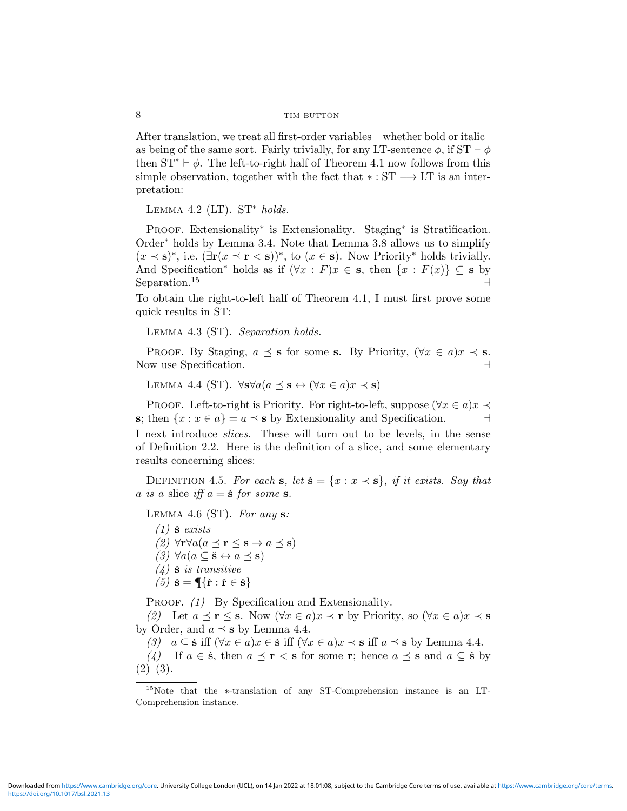After translation, we treat all first-order variables—whether bold or italic as being of the same sort. Fairly trivially, for any LT-sentence  $\phi$ , if  $ST \vdash \phi$ then  $ST^* \vdash \phi$ . The left-to-right half of Theorem 4.1 now follows from this simple observation, together with the fact that  $\ast : ST \longrightarrow LT$  is an interpretation:

LEMMA  $4.2$  (LT). ST<sup>\*</sup> holds.

PROOF. Extensionality<sup>\*</sup> is Extensionality. Staging<sup>\*</sup> is Stratification. Order<sup>∗</sup> holds by Lemma 3.4. Note that Lemma 3.8 allows us to simplify  $(x \prec s)^*$ , i.e.  $(\exists r(x \leq r \leq s))^*$ , to  $(x \in s)$ . Now Priority<sup>\*</sup> holds trivially. And Specification<sup>\*</sup> holds as if  $(\forall x : F)x \in s$ , then  $\{x : F(x)\} \subseteq s$  by Separation.<sup>15</sup>  $\rightarrow$ 

To obtain the right-to-left half of Theorem 4.1, I must first prove some quick results in ST:

Lemma 4.3 (ST). Separation holds.

PROOF. By Staging,  $a \preceq s$  for some s. By Priority,  $(\forall x \in a)x \prec s$ . Now use Specification.

LEMMA 4.4 (ST).  $\forall s \forall a (a \prec s \leftrightarrow (\forall x \in a) x \prec s)$ 

PROOF. Left-to-right is Priority. For right-to-left, suppose  $(\forall x \in a)x \prec$ s; then  $\{x : x \in a\} = a \preceq s$  by Extensionality and Specification. I next introduce slices. These will turn out to be levels, in the sense of Definition 2.2. Here is the definition of a slice, and some elementary results concerning slices:

DEFINITION 4.5. For each s, let  $\check{\mathbf{s}} = \{x : x \prec \mathbf{s}\}\text{, if it exists. Say that }$ a is a slice iff  $a = \check{\mathbf{s}}$  for some s.

LEMMA 4.6 (ST). For any  $s$ :

 $(1)$   $\check{\mathbf{s}}$  exists (2)  $\forall \mathbf{r} \forall a (a \prec \mathbf{r} \leq \mathbf{s} \rightarrow a \prec \mathbf{s})$  $(3) \; \forall a (a \subseteq \check{\mathbf{s}} \leftrightarrow a \preceq \mathbf{s})$  $(4)$   $\check{\mathbf{s}}$  is transitive  $(5) \check{\mathbf{s}} = \P\{\check{\mathbf{r}} : \check{\mathbf{r}} \in \check{\mathbf{s}}\}$ 

PROOF. (1) By Specification and Extensionality.

(2) Let  $a \preceq r \leq s$ . Now  $(\forall x \in a)x \prec r$  by Priority, so  $(\forall x \in a)x \prec s$ by Order, and  $a \preceq s$  by Lemma 4.4.

(3)  $a \subseteq \tilde{s}$  iff  $(\forall x \in a) x \in \tilde{s}$  iff  $(\forall x \in a) x \prec s$  iff  $a \preceq s$  by Lemma 4.4. (4) If  $a \in \mathbf{S}$ , then  $a \preceq \mathbf{r} < \mathbf{s}$  for some r; hence  $a \preceq \mathbf{s}$  and  $a \subseteq \mathbf{S}$  by  $(2)–(3)$ .

<sup>15</sup>Note that the ∗-translation of any ST-Comprehension instance is an LT-Comprehension instance.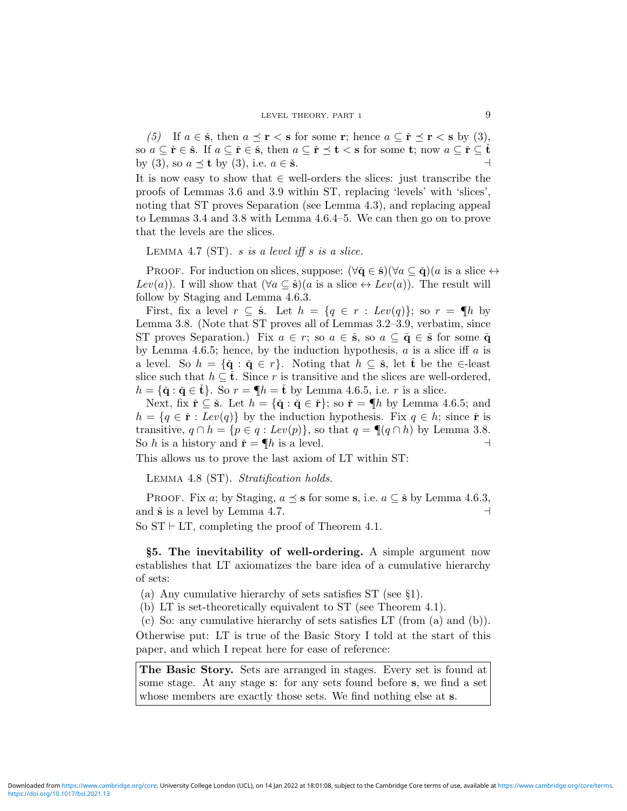(5) If  $a \in \check{\mathbf{s}}$ , then  $a \preceq \mathbf{r} < \mathbf{s}$  for some **r**; hence  $a \subseteq \check{\mathbf{r}} \preceq \mathbf{r} < \mathbf{s}$  by (3), so  $a \subseteq \check{r} \in \check{s}$ . If  $a \subseteq \check{r} \in \check{s}$ , then  $a \subseteq \check{r} \preceq t < s$  for some  $t$ ; now  $a \subseteq \check{r} \subseteq \check{t}$ by (3), so  $a \preceq t$  by (3), i.e.  $a \in \check{\mathbf{s}}$ .

It is now easy to show that  $\in$  well-orders the slices: just transcribe the proofs of Lemmas 3.6 and 3.9 within ST, replacing 'levels' with 'slices', noting that ST proves Separation (see Lemma 4.3), and replacing appeal to Lemmas 3.4 and 3.8 with Lemma 4.6.4–5. We can then go on to prove that the levels are the slices.

LEMMA 4.7 (ST). s is a level iff s is a slice.

PROOF. For induction on slices, suppose:  $(\forall \check{\mathbf{q}} \in \check{\mathbf{s}})(\forall a \subseteq \check{\mathbf{q}})(a \text{ is a slice } \leftrightarrow$ Lev(a)). I will show that  $(\forall a \subseteq \check{\mathbf{s}})(a \text{ is a slice } \leftrightarrow \text{Lev}(a))$ . The result will follow by Staging and Lemma 4.6.3.

First, fix a level  $r \subseteq \check{\mathbf{s}}$ . Let  $h = \{q \in r : \text{Lev}(q)\};$  so  $r = \P h$  by Lemma 3.8. (Note that ST proves all of Lemmas 3.2–3.9, verbatim, since ST proves Separation.) Fix  $a \in r$ ; so  $a \in \check{\mathbf{s}}$ , so  $a \subseteq \check{\mathbf{q}} \in \check{\mathbf{s}}$  for some  $\check{\mathbf{q}}$ by Lemma 4.6.5; hence, by the induction hypothesis,  $a$  is a slice iff  $a$  is a level. So  $h = {\{\mathbf{\check{q}} : \mathbf{\check{q}} \in r\}}$ . Noting that  $h \subseteq \mathbf{\check{s}}$ , let  $\mathbf{\check{t}}$  be the  $\in$ -least slice such that  $h \subseteq \check{\mathbf{t}}$ . Since r is transitive and the slices are well-ordered,  $h = {\{\mathbf{\check{q}} : \mathbf{\check{q}} \in \mathbf{\check{t}}\}$ . So  $r = \P h = \mathbf{\check{t}}$  by Lemma 4.6.5, i.e. r is a slice.

Next, fix  $\check{\mathbf{r}} \subseteq \check{\mathbf{s}}$ . Let  $h = {\check{\mathbf{q}} : \check{\mathbf{q}} \in \check{\mathbf{r}}};$  so  $\check{\mathbf{r}} = \P{h}$  by Lemma 4.6.5; and  $h = \{q \in \check{r} : Lev(q)\}\$ by the induction hypothesis. Fix  $q \in h$ ; since  $\check{r}$  is transitive,  $q \cap h = \{p \in q : Lev(p)\}\$ , so that  $q = \P(q \cap h)$  by Lemma 3.8. So h is a history and  $\check{\mathbf{r}} = \P h$  is a level.

This allows us to prove the last axiom of LT within ST:

Lemma 4.8 (ST). Stratification holds.

PROOF. Fix a; by Staging,  $a \preceq s$  for some s, i.e.  $a \subseteq \check{s}$  by Lemma 4.6.3, and  $\check{\mathbf{s}}$  is a level by Lemma 4.7.

So  $ST \vdash LT$ , completing the proof of Theorem 4.1.

§5. The inevitability of well-ordering. A simple argument now establishes that LT axiomatizes the bare idea of a cumulative hierarchy of sets:

(a) Any cumulative hierarchy of sets satisfies ST (see §1).

(b) LT is set-theoretically equivalent to ST (see Theorem 4.1).

(c) So: any cumulative hierarchy of sets satisfies LT (from (a) and (b)). Otherwise put: LT is true of the Basic Story I told at the start of this paper, and which I repeat here for ease of reference:

The Basic Story. Sets are arranged in stages. Every set is found at some stage. At any stage s: for any sets found before s, we find a set whose members are exactly those sets. We find nothing else at s.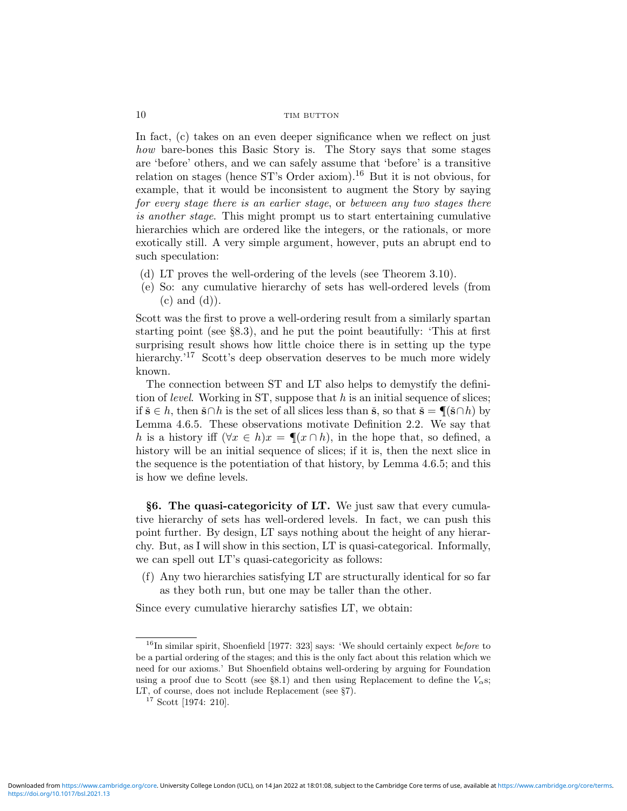In fact, (c) takes on an even deeper significance when we reflect on just how bare-bones this Basic Story is. The Story says that some stages are 'before' others, and we can safely assume that 'before' is a transitive relation on stages (hence  $ST's$  Order axiom).<sup>16</sup> But it is not obvious, for example, that it would be inconsistent to augment the Story by saying for every stage there is an earlier stage, or between any two stages there is another stage. This might prompt us to start entertaining cumulative hierarchies which are ordered like the integers, or the rationals, or more exotically still. A very simple argument, however, puts an abrupt end to such speculation:

- (d) LT proves the well-ordering of the levels (see Theorem 3.10).
- (e) So: any cumulative hierarchy of sets has well-ordered levels (from  $(c)$  and  $(d)$ ).

Scott was the first to prove a well-ordering result from a similarly spartan starting point (see §8.3), and he put the point beautifully: 'This at first surprising result shows how little choice there is in setting up the type hierarchy.<sup>'17</sup> Scott's deep observation deserves to be much more widely known.

The connection between ST and LT also helps to demystify the definition of *level.* Working in ST, suppose that  $h$  is an initial sequence of slices; if  $\check{\mathbf{s}} \in h$ , then  $\check{\mathbf{s}} \cap h$  is the set of all slices less than  $\check{\mathbf{s}}$ , so that  $\check{\mathbf{s}} = \P(\check{\mathbf{s}} \cap h)$  by Lemma 4.6.5. These observations motivate Definition 2.2. We say that h is a history iff  $(\forall x \in h)x = \P(x \cap h)$ , in the hope that, so defined, a history will be an initial sequence of slices; if it is, then the next slice in the sequence is the potentiation of that history, by Lemma 4.6.5; and this is how we define levels.

§6. The quasi-categoricity of LT. We just saw that every cumulative hierarchy of sets has well-ordered levels. In fact, we can push this point further. By design, LT says nothing about the height of any hierarchy. But, as I will show in this section, LT is quasi-categorical. Informally, we can spell out LT's quasi-categoricity as follows:

(f) Any two hierarchies satisfying LT are structurally identical for so far as they both run, but one may be taller than the other.

Since every cumulative hierarchy satisfies LT, we obtain:

<sup>&</sup>lt;sup>16</sup>In similar spirit, Shoenfield [1977: 323] says: 'We should certainly expect *before* to be a partial ordering of the stages; and this is the only fact about this relation which we need for our axioms.' But Shoenfield obtains well-ordering by arguing for Foundation using a proof due to Scott (see §8.1) and then using Replacement to define the  $V_{\alpha}$ s; LT, of course, does not include Replacement (see §7).

<sup>&</sup>lt;sup>17</sup> Scott [1974: 210].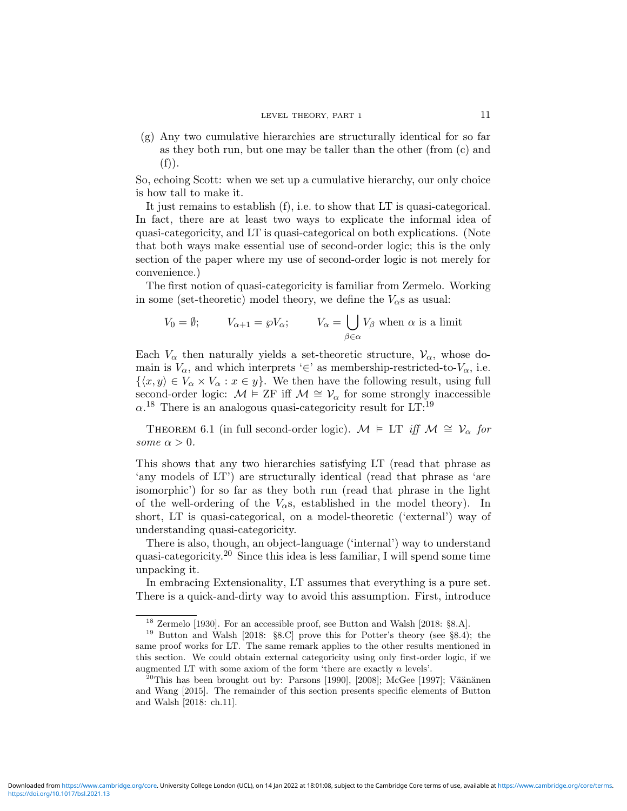#### LEVEL THEORY, PART 1 11

(g) Any two cumulative hierarchies are structurally identical for so far as they both run, but one may be taller than the other (from (c) and  $(f)).$ 

So, echoing Scott: when we set up a cumulative hierarchy, our only choice is how tall to make it.

It just remains to establish (f), i.e. to show that LT is quasi-categorical. In fact, there are at least two ways to explicate the informal idea of quasi-categoricity, and LT is quasi-categorical on both explications. (Note that both ways make essential use of second-order logic; this is the only section of the paper where my use of second-order logic is not merely for convenience.)

The first notion of quasi-categoricity is familiar from Zermelo. Working in some (set-theoretic) model theory, we define the  $V_{\alpha}$ s as usual:

$$
V_0 = \emptyset; \qquad V_{\alpha+1} = \wp V_{\alpha}; \qquad V_{\alpha} = \bigcup_{\beta \in \alpha} V_{\beta} \text{ when } \alpha \text{ is a limit}
$$

Each  $V_{\alpha}$  then naturally yields a set-theoretic structure,  $V_{\alpha}$ , whose domain is  $V_{\alpha}$ , and which interprets '∈' as membership-restricted-to- $V_{\alpha}$ , i.e.  $\{\langle x, y\rangle \in V_\alpha \times V_\alpha : x \in y\}.$  We then have the following result, using full second-order logic:  $\mathcal{M} \models \text{ZF}$  iff  $\mathcal{M} \cong \mathcal{V}_{\alpha}$  for some strongly inaccessible  $\alpha$ <sup>18</sup> There is an analogous quasi-categoricity result for LT:<sup>19</sup>

THEOREM 6.1 (in full second-order logic).  $\mathcal{M} \models \text{LT}$  iff  $\mathcal{M} \cong \mathcal{V}_{\alpha}$  for some  $\alpha > 0$ .

This shows that any two hierarchies satisfying LT (read that phrase as 'any models of LT') are structurally identical (read that phrase as 'are isomorphic') for so far as they both run (read that phrase in the light of the well-ordering of the  $V_{\alpha}$ s, established in the model theory). In short, LT is quasi-categorical, on a model-theoretic ('external') way of understanding quasi-categoricity.

There is also, though, an object-language ('internal') way to understand quasi-categoricity.<sup>20</sup> Since this idea is less familiar, I will spend some time unpacking it.

In embracing Extensionality, LT assumes that everything is a pure set. There is a quick-and-dirty way to avoid this assumption. First, introduce

 $^{18}$  Zermelo [1930]. For an accessible proof, see Button and Walsh [2018: §8.A].

<sup>19</sup> Button and Walsh [2018: §8.C] prove this for Potter's theory (see §8.4); the same proof works for LT. The same remark applies to the other results mentioned in this section. We could obtain external categoricity using only first-order logic, if we augmented LT with some axiom of the form 'there are exactly  $n$  levels'.

<sup>&</sup>lt;sup>20</sup>This has been brought out by: Parsons [1990], [2008]; McGee [1997]; Väänänen and Wang [2015]. The remainder of this section presents specific elements of Button and Walsh [2018: ch.11].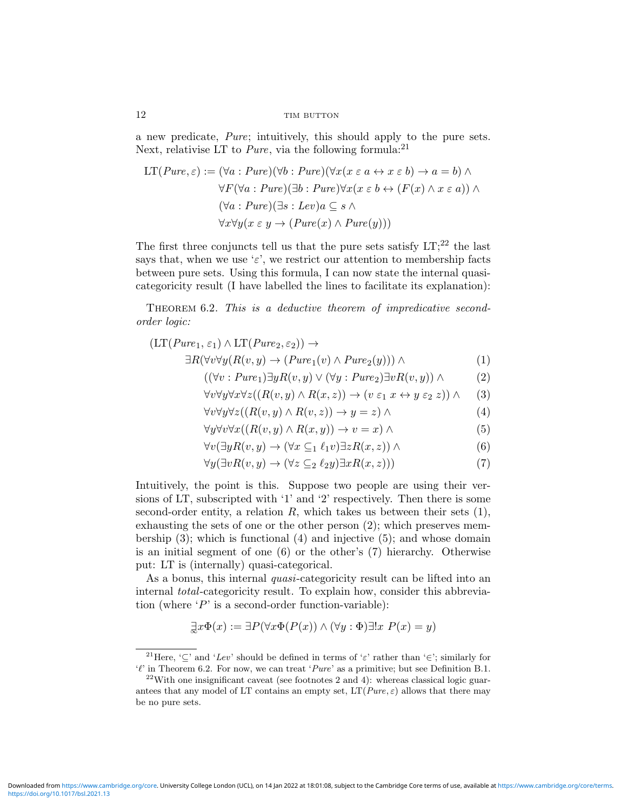a new predicate, Pure; intuitively, this should apply to the pure sets. Next, relativise LT to *Pure*, via the following formula:<sup>21</sup>

LT(*Pure*, 
$$
\varepsilon
$$
) := ( $\forall a : Pure$ )( $\forall b : Pure$ )( $\forall x (x \varepsilon a \leftrightarrow x \varepsilon b) \rightarrow a = b$ )  $\land$   
\n $\forall F (\forall a : Pure)$ ( $\exists b : Pure$ ) $\forall x (x \varepsilon b \leftrightarrow (F(x) \land x \varepsilon a)) \land$   
\n( $\forall a : Pure$ )( $\exists s : Lev$ ) $a \subseteq s \land$   
\n $\forall x \forall y (x \varepsilon y \rightarrow (Pure(x) \land Pure(y)))$ 

The first three conjuncts tell us that the pure sets satisfy  $LT$ ;<sup>22</sup> the last says that, when we use ' $\varepsilon$ ', we restrict our attention to membership facts between pure sets. Using this formula, I can now state the internal quasicategoricity result (I have labelled the lines to facilitate its explanation):

THEOREM 6.2. This is a deductive theorem of impredicative secondorder logic:

$$
(LT(Pure_1, \varepsilon_1) \land LT(Pure_2, \varepsilon_2)) \rightarrow \exists R(\forall v \forall y (R(v, y) \rightarrow (Pure_1(v) \land Pure_2(y))) \land
$$
\n(1)

$$
((\forall v : Pure_1) \exists y R(v, y) \lor (\forall y : Pure_2) \exists v R(v, y)) \land (2)
$$

$$
\forall v \forall y \forall x \forall z ((R(v, y) \land R(x, z)) \rightarrow (v \varepsilon_1 x \leftrightarrow y \varepsilon_2 z)) \land (3)
$$

$$
\forall v \forall y \forall z ((R(v, y) \land R(v, z)) \to y = z) \land \tag{4}
$$

$$
\forall y \forall v \forall x ((R(v, y) \land R(x, y)) \to v = x) \land \tag{5}
$$

$$
\forall v (\exists y R(v, y) \to (\forall x \subseteq_1 \ell_1 v) \exists z R(x, z)) \land \tag{6}
$$

$$
\forall y (\exists v R(v, y) \to (\forall z \subseteq_2 \ell_2 y) \exists x R(x, z))) \tag{7}
$$

Intuitively, the point is this. Suppose two people are using their versions of LT, subscripted with '1' and '2' respectively. Then there is some second-order entity, a relation  $R$ , which takes us between their sets  $(1)$ , exhausting the sets of one or the other person (2); which preserves membership  $(3)$ ; which is functional  $(4)$  and injective  $(5)$ ; and whose domain is an initial segment of one (6) or the other's (7) hierarchy. Otherwise put: LT is (internally) quasi-categorical.

As a bonus, this internal *quasi*-categoricity result can be lifted into an internal total-categoricity result. To explain how, consider this abbreviation (where  $P'$  is a second-order function-variable):

$$
\exists x \Phi(x) := \exists P (\forall x \Phi(P(x)) \land (\forall y : \Phi) \exists! x \ P(x) = y)
$$

<sup>&</sup>lt;sup>21</sup>Here, '⊂' and 'Lev' should be defined in terms of ' $\varepsilon$ ' rather than '∈'; similarly for ' $\ell$ ' in Theorem 6.2. For now, we can treat '*Pure*' as a primitive; but see Definition B.1.

 $^{22}$ With one insignificant caveat (see footnotes 2 and 4): whereas classical logic guarantees that any model of LT contains an empty set,  $LT(Pure, \varepsilon)$  allows that there may be no pure sets.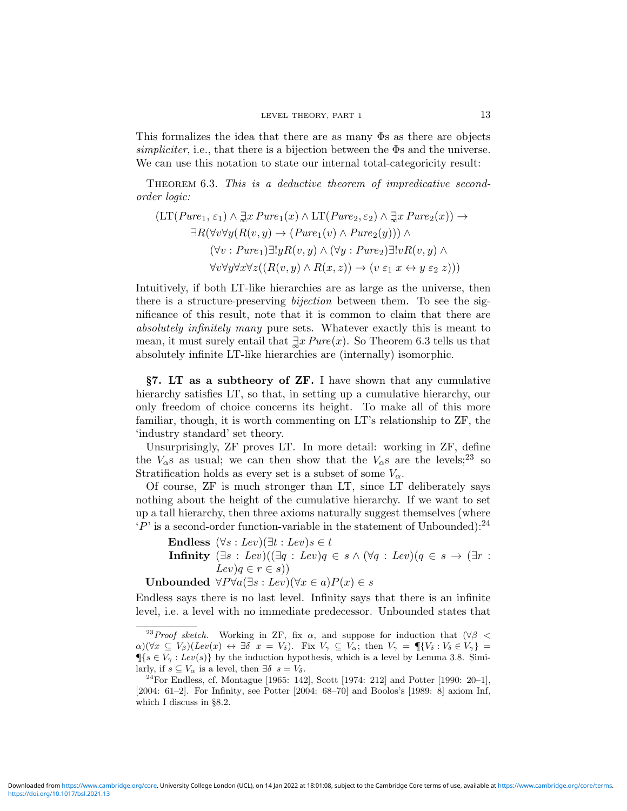This formalizes the idea that there are as many Φs as there are objects simpliciter, i.e., that there is a bijection between the Φs and the universe. We can use this notation to state our internal total-categoricity result:

THEOREM 6.3. This is a deductive theorem of impredicative secondorder logic:

$$
(LT(Pure_1, \varepsilon_1) \land \exists x \, Pure_1(x) \land LT(Pure_2, \varepsilon_2) \land \exists x \, Pure_2(x)) \rightarrow
$$
  
\n
$$
\exists R(\forall v \forall y (R(v, y) \rightarrow (Pure_1(v) \land Pure_2(y))) \land
$$
  
\n
$$
(\forall v : Pure_1) \exists! y R(v, y) \land (\forall y : Pure_2) \exists! v R(v, y) \land
$$
  
\n
$$
\forall v \forall y \forall x \forall z ((R(v, y) \land R(x, z)) \rightarrow (v \varepsilon_1 x \leftrightarrow y \varepsilon_2 z)))
$$

Intuitively, if both LT-like hierarchies are as large as the universe, then there is a structure-preserving bijection between them. To see the significance of this result, note that it is common to claim that there are absolutely infinitely many pure sets. Whatever exactly this is meant to mean, it must surely entail that  $\exists x\, Pure(x)$ . So Theorem 6.3 tells us that absolutely infinite LT-like hierarchies are (internally) isomorphic.

§7. LT as a subtheory of ZF. I have shown that any cumulative hierarchy satisfies LT, so that, in setting up a cumulative hierarchy, our only freedom of choice concerns its height. To make all of this more familiar, though, it is worth commenting on LT's relationship to ZF, the 'industry standard' set theory.

Unsurprisingly, ZF proves LT. In more detail: working in ZF, define the  $V_{\alpha}$ s as usual; we can then show that the  $V_{\alpha}$ s are the levels;<sup>23</sup> so Stratification holds as every set is a subset of some  $V_{\alpha}$ .

Of course, ZF is much stronger than LT, since LT deliberately says nothing about the height of the cumulative hierarchy. If we want to set up a tall hierarchy, then three axioms naturally suggest themselves (where  $'P'$  is a second-order function-variable in the statement of Unbounded):<sup>24</sup>

Endless  $(\forall s : Lev)(\exists t : Lev)s \in t$ Infinity  $(\exists s : \text{Lev})((\exists q : \text{Lev})q \in s \land (\forall q : \text{Lev})(q \in s \rightarrow (\exists r :$  $Lev)q \in r \in s$ )

Unbounded  $\forall P \forall a (\exists s : Lev)(\forall x \in a) P(x) \in s$ 

Endless says there is no last level. Infinity says that there is an infinite level, i.e. a level with no immediate predecessor. Unbounded states that

<sup>&</sup>lt;sup>23</sup>Proof sketch. Working in ZF, fix  $\alpha$ , and suppose for induction that ( $\forall \beta$  <  $\alpha$ )( $\forall x \subseteq V_{\beta}$ )( $Lev(x) \leftrightarrow \exists \delta \ x = V_{\delta}$ ). Fix  $V_{\gamma} \subseteq V_{\alpha}$ ; then  $V_{\gamma} = \P{V_{\delta} : V_{\delta} \in V_{\gamma}}$  $\P{s \in V_\gamma : Lev(s)}$  by the induction hypothesis, which is a level by Lemma 3.8. Similarly, if  $s \subseteq V_\alpha$  is a level, then  $\exists \delta \ s = V_\delta$ .

<sup>&</sup>lt;sup>24</sup>For Endless, cf. Montague [1965: 142], Scott [1974: 212] and Potter [1990: 20–1], [2004: 61–2]. For Infinity, see Potter [2004: 68–70] and Boolos's [1989: 8] axiom Inf, which I discuss in §8.2.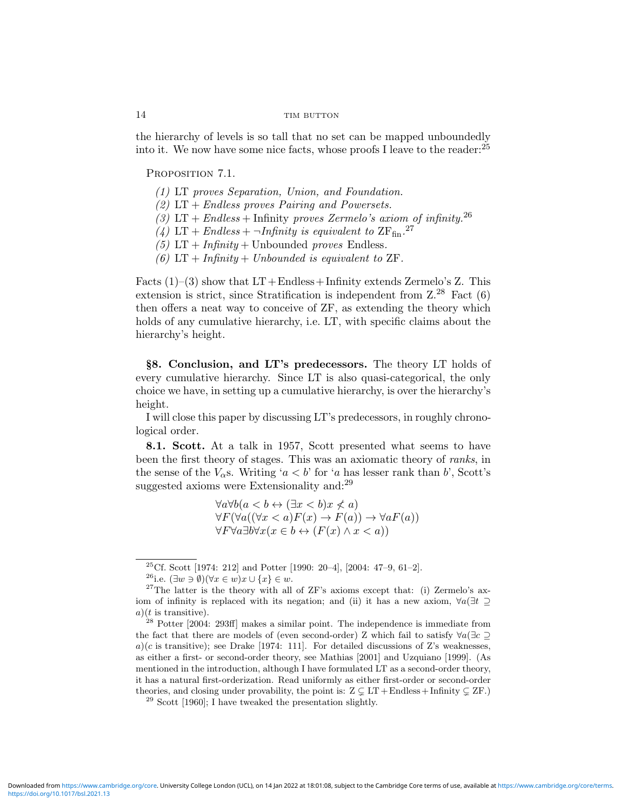the hierarchy of levels is so tall that no set can be mapped unboundedly into it. We now have some nice facts, whose proofs I leave to the reader:  $25$ 

PROPOSITION 7.1.

- (1) LT proves Separation, Union, and Foundation.
- (2)  $LT + Endless$  proves Pairing and Powersets.
- (3) LT + Endless + Infinity proves Zermelo's axiom of infinity.<sup>26</sup>
- (4) LT + Endless +  $\neg Infinity$  is equivalent to  $ZF_{fin}$ .<sup>27</sup>
- (5)  $LT + Infinity + Unbounded proves Endless.$
- (6)  $LT + Infinity + Unbounded$  is equivalent to  $ZF$ .

Facts  $(1)-(3)$  show that  $LT +$ Endless + Infinity extends Zermelo's Z. This extension is strict, since Stratification is independent from  $Z^{28}$  Fact  $(6)$ then offers a neat way to conceive of ZF, as extending the theory which holds of any cumulative hierarchy, i.e. LT, with specific claims about the hierarchy's height.

§8. Conclusion, and LT's predecessors. The theory LT holds of every cumulative hierarchy. Since LT is also quasi-categorical, the only choice we have, in setting up a cumulative hierarchy, is over the hierarchy's height.

I will close this paper by discussing LT's predecessors, in roughly chronological order.

8.1. Scott. At a talk in 1957, Scott presented what seems to have been the first theory of stages. This was an axiomatic theory of ranks, in the sense of the  $V_{\alpha}$ s. Writing 'a < b' for 'a has lesser rank than b', Scott's suggested axioms were Extensionality and:<sup>29</sup>

$$
\forall a \forall b (a < b \leftrightarrow (\exists x < b) x \nless a)
$$
  
\n
$$
\forall F (\forall a ((\forall x < a) F(x) \rightarrow F(a)) \rightarrow \forall a F(a))
$$
  
\n
$$
\forall F \forall a \exists b \forall x (x \in b \leftrightarrow (F(x) \land x < a))
$$

<sup>&</sup>lt;sup>25</sup>Cf. Scott [1974: 212] and Potter [1990: 20–4], [2004: 47–9, 61–2].

<sup>&</sup>lt;sup>26</sup>i.e.  $(\exists w \ni \emptyset)(\forall x \in w)x \cup \{x\} \in w$ .

 $27$ The latter is the theory with all of ZF's axioms except that: (i) Zermelo's axiom of infinity is replaced with its negation; and (ii) it has a new axiom,  $\forall a(\exists t \supseteq$  $a)(t$  is transitive).

 $^{28}$  Potter [2004: 293ff] makes a similar point. The independence is immediate from the fact that there are models of (even second-order) Z which fail to satisfy  $\forall a(\exists c \supset$ a)(c is transitive); see Drake [1974: 111]. For detailed discussions of Z's weaknesses, as either a first- or second-order theory, see Mathias [2001] and Uzquiano [1999]. (As mentioned in the introduction, although I have formulated LT as a second-order theory, it has a natural first-orderization. Read uniformly as either first-order or second-order theories, and closing under provability, the point is:  $Z \subsetneq LT + Endless + Infinity \subsetneq ZF$ .)

 $29$  Scott [1960]; I have tweaked the presentation slightly.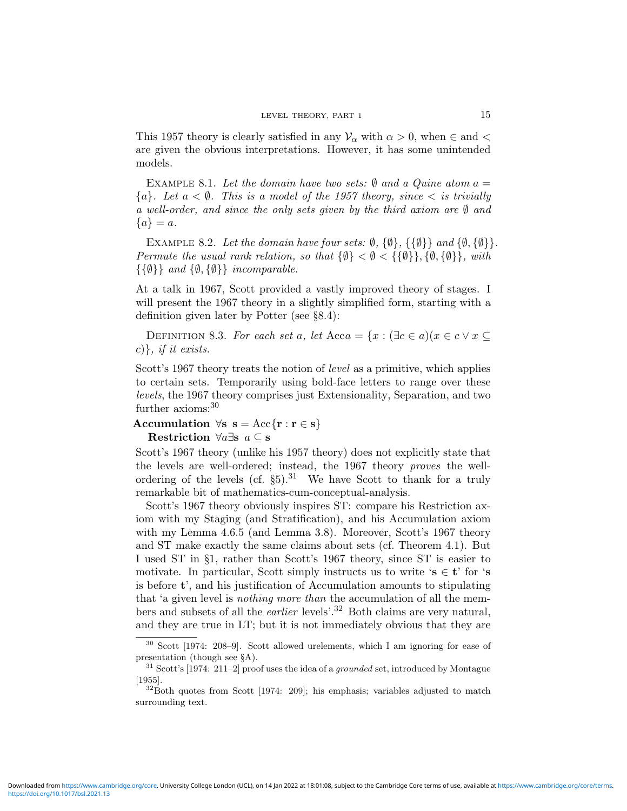This 1957 theory is clearly satisfied in any  $\mathcal{V}_{\alpha}$  with  $\alpha > 0$ , when  $\in$  and  $\lt$ are given the obvious interpretations. However, it has some unintended models.

EXAMPLE 8.1. Let the domain have two sets:  $\emptyset$  and a Quine atom  $a =$  ${a}.$  Let  $a < \emptyset$ . This is a model of the 1957 theory, since  $\langle$  is trivially a well-order, and since the only sets given by the third axiom are  $\emptyset$  and  ${a} = a.$ 

EXAMPLE 8.2. Let the domain have four sets:  $\emptyset$ ,  $\{\emptyset\}$ ,  $\{\{\emptyset\}\}\$  and  $\{\emptyset, \{\emptyset\}\}\$ . Permute the usual rank relation, so that  $\{\emptyset\} < \emptyset < \{\{\emptyset\}\}\$ ,  $\{\emptyset, \{\emptyset\}\}\$ , with  $\{\{\emptyset\}\}\$ and  $\{\emptyset,\{\emptyset\}\}\$ incomparable.

At a talk in 1967, Scott provided a vastly improved theory of stages. I will present the 1967 theory in a slightly simplified form, starting with a definition given later by Potter (see §8.4):

DEFINITION 8.3. For each set a, let  $Acca = \{x : (\exists c \in a)(x \in c \lor x \subseteq c\})$ c), if it exists.

Scott's 1967 theory treats the notion of *level* as a primitive, which applies to certain sets. Temporarily using bold-face letters to range over these levels, the 1967 theory comprises just Extensionality, Separation, and two further axioms:<sup>30</sup>

Accumulation  $\forall s \ s = Acc{r : r \in s}$ Restriction  $\forall a \exists s \ a \subseteq s$ 

Scott's 1967 theory (unlike his 1957 theory) does not explicitly state that the levels are well-ordered; instead, the 1967 theory *proves* the wellordering of the levels (cf.  $\S5$ ).<sup>31</sup> We have Scott to thank for a truly remarkable bit of mathematics-cum-conceptual-analysis.

Scott's 1967 theory obviously inspires ST: compare his Restriction axiom with my Staging (and Stratification), and his Accumulation axiom with my Lemma 4.6.5 (and Lemma 3.8). Moreover, Scott's 1967 theory and ST make exactly the same claims about sets (cf. Theorem 4.1). But I used ST in §1, rather than Scott's 1967 theory, since ST is easier to motivate. In particular, Scott simply instructs us to write 's  $\in \mathbf{t}'$  for 's is before t', and his justification of Accumulation amounts to stipulating that 'a given level is nothing more than the accumulation of all the members and subsets of all the earlier levels'.<sup>32</sup> Both claims are very natural, and they are true in LT; but it is not immediately obvious that they are

<sup>30</sup> Scott [1974: 208–9]. Scott allowed urelements, which I am ignoring for ease of presentation (though see §A).

 $31$  Scott's [1974: 211–2] proof uses the idea of a *grounded* set, introduced by Montague [1955].

 $32$ Both quotes from Scott [1974: 209]; his emphasis; variables adjusted to match surrounding text.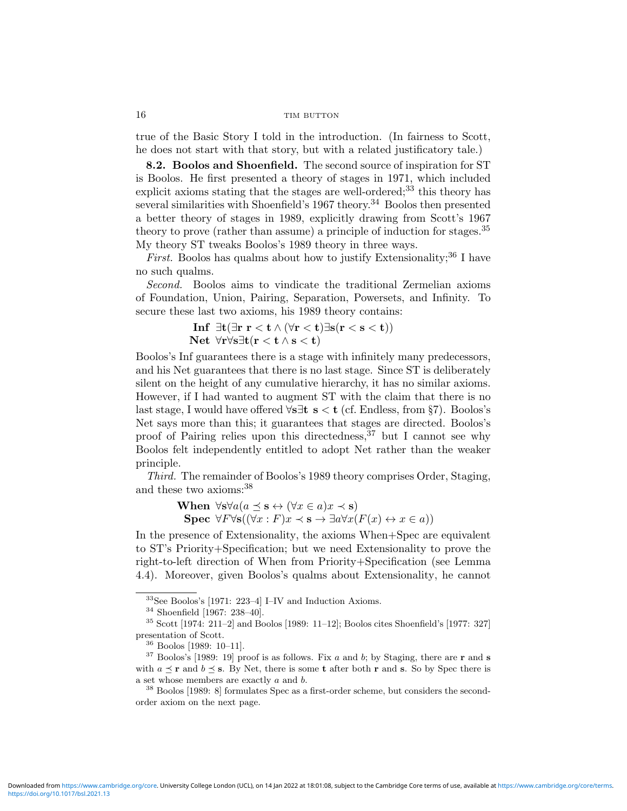true of the Basic Story I told in the introduction. (In fairness to Scott, he does not start with that story, but with a related justificatory tale.)

8.2. Boolos and Shoenfield. The second source of inspiration for ST is Boolos. He first presented a theory of stages in 1971, which included explicit axioms stating that the stages are well-ordered;<sup>33</sup> this theory has several similarities with Shoenfield's 1967 theory.<sup>34</sup> Boolos then presented a better theory of stages in 1989, explicitly drawing from Scott's 1967 theory to prove (rather than assume) a principle of induction for stages.  $35$ My theory ST tweaks Boolos's 1989 theory in three ways.

*First.* Boolos has qualms about how to justify Extensionality;<sup>36</sup> I have no such qualms.

Second. Boolos aims to vindicate the traditional Zermelian axioms of Foundation, Union, Pairing, Separation, Powersets, and Infinity. To secure these last two axioms, his 1989 theory contains:

$$
\begin{array}{l} \textbf{Inf } \exists t (\exists r\; r < t \wedge (\forall r < t) \exists s (r < s < t)) \\ \textbf{Net } \forall r \forall s \exists t (r < t \wedge s < t) \end{array}
$$

Boolos's Inf guarantees there is a stage with infinitely many predecessors, and his Net guarantees that there is no last stage. Since ST is deliberately silent on the height of any cumulative hierarchy, it has no similar axioms. However, if I had wanted to augment ST with the claim that there is no last stage, I would have offered  $\forall s \exists t \ s < t \ (cf. \ Endless, \ from \ § 7)$ . Boolos's Net says more than this; it guarantees that stages are directed. Boolos's proof of Pairing relies upon this directedness,  $37$  but I cannot see why Boolos felt independently entitled to adopt Net rather than the weaker principle.

Third. The remainder of Boolos's 1989 theory comprises Order, Staging, and these two axioms:<sup>38</sup>

> When  $\forall$ s $\forall a (a \preceq s \leftrightarrow (\forall x \in a) x \prec s)$ Spec  $\forall F \forall s ((\forall x : F) x \prec s \rightarrow \exists a \forall x (F(x) \leftrightarrow x \in a))$

In the presence of Extensionality, the axioms When+Spec are equivalent to ST's Priority+Specification; but we need Extensionality to prove the right-to-left direction of When from Priority+Specification (see Lemma 4.4). Moreover, given Boolos's qualms about Extensionality, he cannot

<sup>33</sup>See Boolos's [1971: 223–4] I–IV and Induction Axioms.

<sup>34</sup> Shoenfield [1967: 238–40].

 $35$  Scott [1974: 211–2] and Boolos [1989: 11–12]; Boolos cites Shoenfield's [1977: 327] presentation of Scott.

<sup>36</sup> Boolos [1989: 10–11].

 $37$  Boolos's [1989: 19] proof is as follows. Fix a and b; by Staging, there are r and s with  $a \preceq r$  and  $b \preceq s$ . By Net, there is some **t** after both **r** and **s**. So by Spec there is a set whose members are exactly a and b.

<sup>38</sup> Boolos [1989: 8] formulates Spec as a first-order scheme, but considers the secondorder axiom on the next page.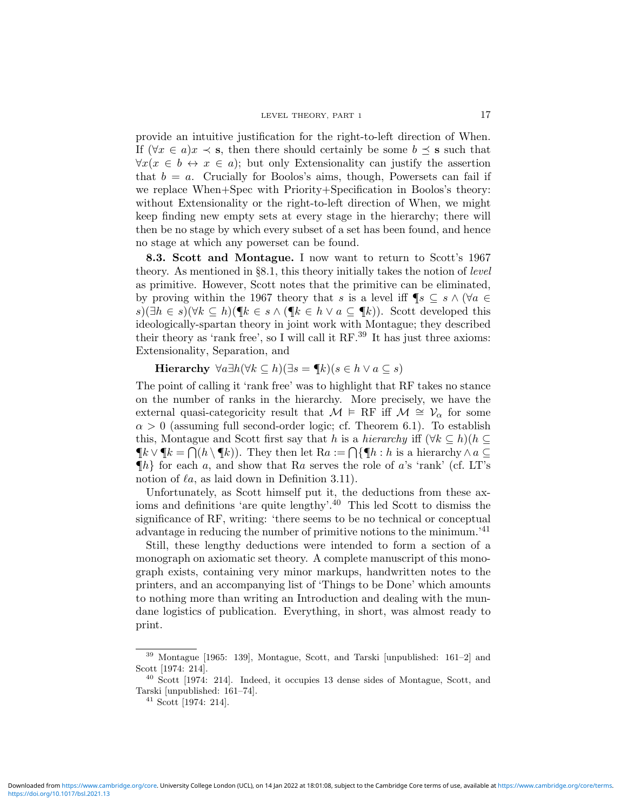provide an intuitive justification for the right-to-left direction of When. If  $(\forall x \in a) x \prec s$ , then there should certainly be some  $b \preceq s$  such that  $\forall x(x \in b \leftrightarrow x \in a)$ ; but only Extensionality can justify the assertion that  $b = a$ . Crucially for Boolos's aims, though, Powersets can fail if we replace When+Spec with Priority+Specification in Boolos's theory: without Extensionality or the right-to-left direction of When, we might keep finding new empty sets at every stage in the hierarchy; there will then be no stage by which every subset of a set has been found, and hence no stage at which any powerset can be found.

8.3. Scott and Montague. I now want to return to Scott's 1967 theory. As mentioned in §8.1, this theory initially takes the notion of level as primitive. However, Scott notes that the primitive can be eliminated, by proving within the 1967 theory that s is a level iff  $\P_s \subseteq s \wedge (\forall a \in \mathbb{R})$ s)( $\exists h \in s$ )( $\forall k \subseteq h$ )( $\P k \in s \land (\P k \in h \lor a \subseteq \P k)$ ). Scott developed this ideologically-spartan theory in joint work with Montague; they described their theory as 'rank free', so I will call it  $RF.^{39}$  It has just three axioms: Extensionality, Separation, and

Hierarchy  $\forall a \exists h (\forall k \subseteq h)(\exists s = \P k)(s \in h \lor a \subseteq s)$ 

The point of calling it 'rank free' was to highlight that RF takes no stance on the number of ranks in the hierarchy. More precisely, we have the external quasi-categoricity result that  $\mathcal{M} \models RF$  iff  $\mathcal{M} \cong \mathcal{V}_{\alpha}$  for some  $\alpha > 0$  (assuming full second-order logic; cf. Theorem 6.1). To establish this, Montague and Scott first say that h is a hierarchy iff  $(\forall k \subseteq h)(h \subseteq$  $\P k \vee \P k = \bigcap (h \setminus \P k)$ . They then let  $Ra := \bigcap \{\P h : h \text{ is a hierarchy } \wedge a \subseteq$  $\{\!\!\{\!\!\{ h\}\!\!\}$  for each a, and show that Ra serves the role of a's 'rank' (cf. LT's notion of  $\ell a$ , as laid down in Definition 3.11).

Unfortunately, as Scott himself put it, the deductions from these axioms and definitions 'are quite lengthy'.<sup>40</sup> This led Scott to dismiss the significance of RF, writing: 'there seems to be no technical or conceptual advantage in reducing the number of primitive notions to the minimum.<sup>'41</sup>

Still, these lengthy deductions were intended to form a section of a monograph on axiomatic set theory. A complete manuscript of this monograph exists, containing very minor markups, handwritten notes to the printers, and an accompanying list of 'Things to be Done' which amounts to nothing more than writing an Introduction and dealing with the mundane logistics of publication. Everything, in short, was almost ready to print.

<sup>39</sup> Montague [1965: 139], Montague, Scott, and Tarski [unpublished: 161–2] and Scott [1974: 214].

 $40$  Scott [1974: 214]. Indeed, it occupies 13 dense sides of Montague, Scott, and Tarski [unpublished: 161–74].

<sup>41</sup> Scott [1974: 214].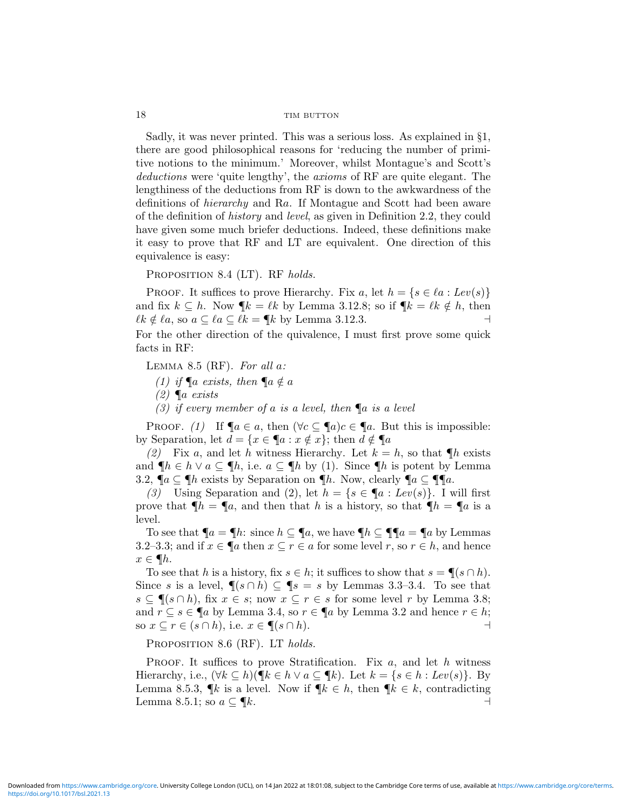Sadly, it was never printed. This was a serious loss. As explained in §1, there are good philosophical reasons for 'reducing the number of primitive notions to the minimum.' Moreover, whilst Montague's and Scott's deductions were 'quite lengthy', the axioms of RF are quite elegant. The lengthiness of the deductions from RF is down to the awkwardness of the definitions of *hierarchy* and Ra. If Montague and Scott had been aware of the definition of history and level, as given in Definition 2.2, they could have given some much briefer deductions. Indeed, these definitions make it easy to prove that RF and LT are equivalent. One direction of this equivalence is easy:

PROPOSITION 8.4 (LT). RF holds.

PROOF. It suffices to prove Hierarchy. Fix a, let  $h = \{s \in \ell a : Lev(s)\}\$ and fix  $k \subseteq h$ . Now  $\P_k = \ell k$  by Lemma 3.12.8; so if  $\P_k = \ell k \notin h$ , then  $\ell k \notin \ell a$ , so  $a \subseteq \ell a \subseteq \ell k = \P k$  by Lemma 3.12.3. For the other direction of the quivalence, I must first prove some quick

facts in RF:

LEMMA 8.5 (RF). For all  $a$ :

- (1) if  $\P a$  exists, then  $\P a \notin a$
- $(2)$   $\mathbb{I}$ a exists
- (3) if every member of a is a level, then  $\P$ a is a level

PROOF. (1) If  $\P a \in a$ , then  $(\forall c \subseteq \P a)c \in \P a$ . But this is impossible: by Separation, let  $d = \{x \in \P a : x \notin x\}$ ; then  $d \notin \P a$ 

(2) Fix a, and let h witness Hierarchy. Let  $k = h$ , so that  $\n  $\llbracket h \rrbracket$  exists$ and  $\P h \in h \vee a \subseteq \P h$ , i.e.  $a \subseteq \P h$  by (1). Since  $\P h$  is potent by Lemma 3.2,  $\P a \subseteq \P h$  exists by Separation on  $\P h$ . Now, clearly  $\P a \subseteq \P \P a$ .

(3) Using Separation and (2), let  $h = \{s \in \P a : Lev(s)\}\$ . I will first prove that  $\P h = \P a$ , and then that h is a history, so that  $\P h = \P a$  is a level.

To see that  $\P_a = \P h$ : since  $h \subseteq \P a$ , we have  $\P h \subseteq \P \P a = \P a$  by Lemmas 3.2–3.3; and if  $x \in \P$ a then  $x \subseteq r \in a$  for some level  $r$ , so  $r \in h$ , and hence  $x \in \P h$ .

To see that h is a history, fix  $s \in h$ ; it suffices to show that  $s = \P(s \cap h)$ . Since s is a level,  $\P(s \cap h) \subseteq \P s = s$  by Lemmas 3.3–3.4. To see that  $s \subseteq \P(s \cap h)$ , fix  $x \in s$ ; now  $x \subseteq r \in s$  for some level r by Lemma 3.8; and  $r \subseteq s \in \P$ a by Lemma 3.4, so  $r \in \P$ a by Lemma 3.2 and hence  $r \in h$ ; so  $x \subseteq r \in (s \cap h)$ , i.e.  $x \in \P(s \cap h)$ .

PROPOSITION 8.6 (RF). LT holds.

**PROOF.** It suffices to prove Stratification. Fix  $a$ , and let  $h$  witness Hierarchy, i.e.,  $(\forall k \subseteq h)(\P k \in h \lor a \subseteq \P k)$ . Let  $k = \{s \in h : Lev(s)\}$ . By Lemma 8.5.3,  $\mathbb{I}k$  is a level. Now if  $\mathbb{I}k \in h$ , then  $\mathbb{I}k \in k$ , contradicting Lemma 8.5.1; so  $a \subseteq \P k$ .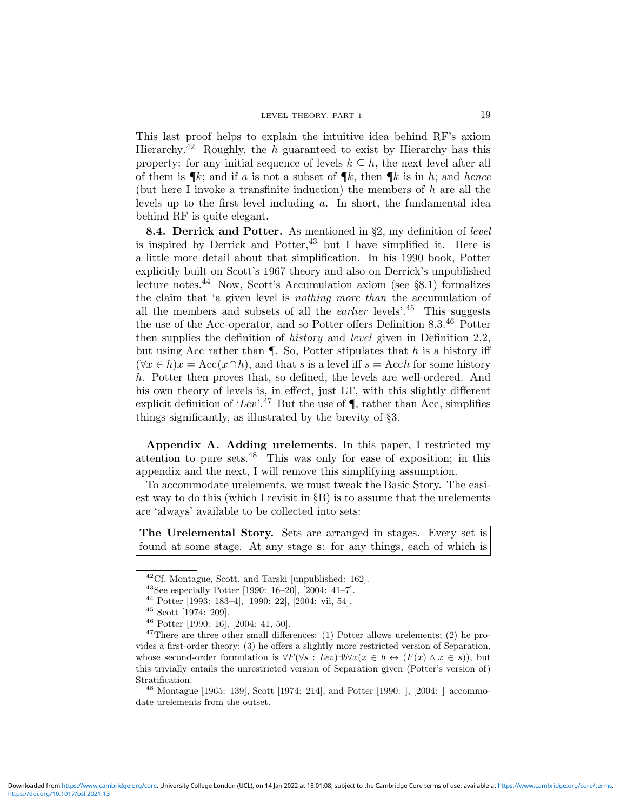This last proof helps to explain the intuitive idea behind RF's axiom Hierarchy.<sup>42</sup> Roughly, the h guaranteed to exist by Hierarchy has this property: for any initial sequence of levels  $k \subseteq h$ , the next level after all of them is  $\P_k$ ; and if a is not a subset of  $\P_k$ , then  $\P_k$  is in h; and hence (but here I invoke a transfinite induction) the members of  $h$  are all the levels up to the first level including a. In short, the fundamental idea behind RF is quite elegant.

8.4. Derrick and Potter. As mentioned in §2, my definition of level is inspired by Derrick and Potter,  $43$  but I have simplified it. Here is a little more detail about that simplification. In his 1990 book, Potter explicitly built on Scott's 1967 theory and also on Derrick's unpublished lecture notes.<sup>44</sup> Now, Scott's Accumulation axiom (see §8.1) formalizes the claim that 'a given level is nothing more than the accumulation of all the members and subsets of all the *earlier* levels'.<sup>45</sup> This suggests the use of the Acc-operator, and so Potter offers Definition 8.3.<sup>46</sup> Potter then supplies the definition of *history* and *level* given in Definition 2.2, but using Acc rather than  $\P$ . So, Potter stipulates that h is a history iff  $(\forall x \in h)x = \text{Acc}(x \cap h)$ , and that s is a level iff  $s = \text{Acc}h$  for some history h. Potter then proves that, so defined, the levels are well-ordered. And his own theory of levels is, in effect, just LT, with this slightly different explicit definition of 'Lev'.<sup>47</sup> But the use of  $\P$ , rather than Acc, simplifies things significantly, as illustrated by the brevity of §3.

Appendix A. Adding urelements. In this paper, I restricted my attention to pure sets.<sup>48</sup> This was only for ease of exposition; in this appendix and the next, I will remove this simplifying assumption.

To accommodate urelements, we must tweak the Basic Story. The easiest way to do this (which I revisit in §B) is to assume that the urelements are 'always' available to be collected into sets:

The Urelemental Story. Sets are arranged in stages. Every set is found at some stage. At any stage s: for any things, each of which is

<sup>48</sup> Montague [1965: 139], Scott [1974: 214], and Potter [1990: ], [2004: ] accommodate urelements from the outset.

 $^{42}$ Cf. Montague, Scott, and Tarski [unpublished: 162].

<sup>43</sup>See especially Potter [1990: 16–20], [2004: 41–7].

<sup>44</sup> Potter [1993: 183–4], [1990: 22], [2004: vii, 54].

<sup>45</sup> Scott [1974: 209].

 $46$  Potter [1990: 16], [2004: 41, 50].

<sup>&</sup>lt;sup>47</sup>There are three other small differences: (1) Potter allows urelements; (2) he provides a first-order theory; (3) he offers a slightly more restricted version of Separation, whose second-order formulation is  $\forall F(\forall s : Lev) \exists b \forall x (x \in b \leftrightarrow (F(x) \land x \in s))$ , but this trivially entails the unrestricted version of Separation given (Potter's version of) Stratification.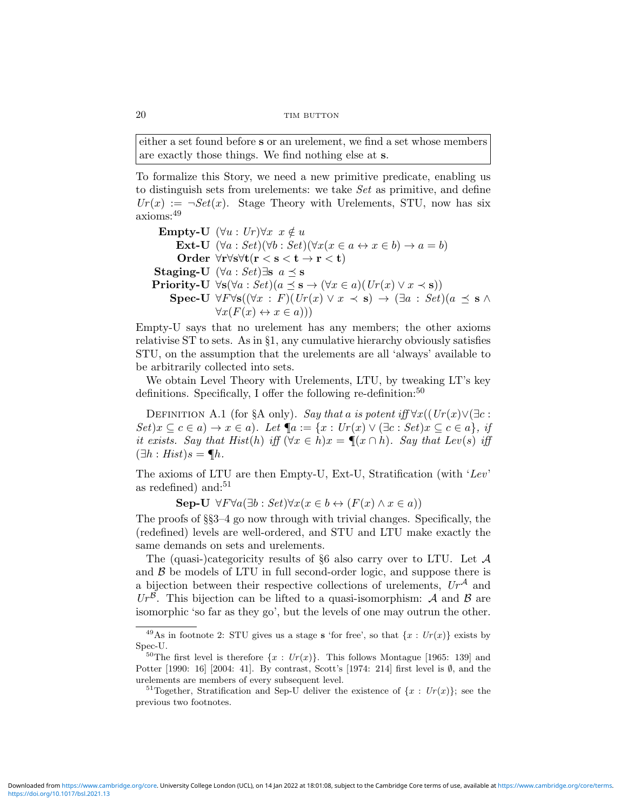either a set found before s or an urelement, we find a set whose members are exactly those things. We find nothing else at s.

To formalize this Story, we need a new primitive predicate, enabling us to distinguish sets from urelements: we take Set as primitive, and define  $Ur(x) := \neg Set(x)$ . Stage Theory with Urelements, STU, now has six axioms:<sup>49</sup>

```
Empty-U (\forall u : Ur) \forall x \ x \notin uExt-U (\forall a : Set)(\forall b : Set)(\forall x (x \in a \leftrightarrow x \in b) \rightarrow a = b)Order ∀r∀s∀t(r < s < t → r < t)
Staging-U (\forall a : Set) \exists s \ a \preceq sPriority-U \foralls(\foralla : Set)(a \preceq s \rightarrow (\forallx \in a)(Ur(x) \lor x \prec s))
     Spec-U \forall F \forall s ((\forall x : F) (Ur(x) \lor x \prec s) \rightarrow (\exists a : Set) (a \preceq s \land\forall x (F(x) \leftrightarrow x \in a))
```
Empty-U says that no urelement has any members; the other axioms relativise ST to sets. As in §1, any cumulative hierarchy obviously satisfies STU, on the assumption that the urelements are all 'always' available to be arbitrarily collected into sets.

We obtain Level Theory with Urelements, LTU, by tweaking LT's key definitions. Specifically, I offer the following re-definition:  $50$ 

DEFINITION A.1 (for §A only). Say that a is potent iff  $\forall x((Ur(x) \lor (\exists c :$  $Set(x \subseteq c \in a) \rightarrow x \in a)$ . Let  $\P a := \{x : Ur(x) \vee (\exists c : Set)x \subseteq c \in a\}, \text{ if }$ it exists. Say that Hist(h) iff  $(\forall x \in h) x = \P(x \cap h)$ . Say that Lev(s) iff  $(\exists h : Hist)s = \P h.$ 

The axioms of LTU are then Empty-U, Ext-U, Stratification (with 'Lev' as redefined) and: $51$ 

Sep-U  $\forall F \forall a (\exists b : Set) \forall x (x \in b \leftrightarrow (F(x) \land x \in a))$ 

The proofs of §§3–4 go now through with trivial changes. Specifically, the (redefined) levels are well-ordered, and STU and LTU make exactly the same demands on sets and urelements.

The (quasi-)categoricity results of  $\S6$  also carry over to LTU. Let  $\mathcal A$ and  $\beta$  be models of LTU in full second-order logic, and suppose there is a bijection between their respective collections of urelements,  $Ur^{\mathcal{A}}$  and  $Ur^{\mathcal{B}}$ . This bijection can be lifted to a quasi-isomorphism: A and B are isomorphic 'so far as they go', but the levels of one may outrun the other.

<sup>&</sup>lt;sup>49</sup>As in footnote 2: STU gives us a stage **s** 'for free', so that  $\{x: Ur(x)\}$  exists by Spec-U.

<sup>&</sup>lt;sup>50</sup>The first level is therefore  $\{x : Ur(x)\}\$ . This follows Montague [1965: 139] and Potter [1990: 16] [2004: 41]. By contrast, Scott's [1974: 214] first level is Ø, and the urelements are members of every subsequent level.

<sup>&</sup>lt;sup>51</sup>Together, Stratification and Sep-U deliver the existence of  $\{x : Ur(x)\}\;$  see the previous two footnotes.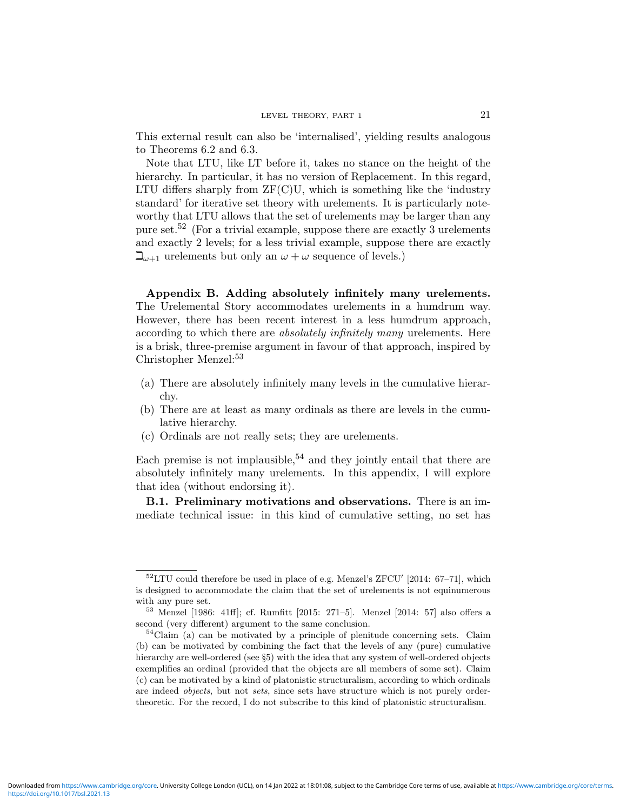This external result can also be 'internalised', yielding results analogous to Theorems 6.2 and 6.3.

Note that LTU, like LT before it, takes no stance on the height of the hierarchy. In particular, it has no version of Replacement. In this regard, LTU differs sharply from  $ZF(C)U$ , which is something like the 'industry standard' for iterative set theory with urelements. It is particularly noteworthy that LTU allows that the set of urelements may be larger than any pure set.<sup>52</sup> (For a trivial example, suppose there are exactly 3 urelements and exactly 2 levels; for a less trivial example, suppose there are exactly  $\mathbb{L}_{\omega+1}$  urelements but only an  $\omega + \omega$  sequence of levels.)

Appendix B. Adding absolutely infinitely many urelements. The Urelemental Story accommodates urelements in a humdrum way. However, there has been recent interest in a less humdrum approach, according to which there are *absolutely infinitely many* urelements. Here is a brisk, three-premise argument in favour of that approach, inspired by Christopher Menzel:<sup>53</sup>

- (a) There are absolutely infinitely many levels in the cumulative hierarchy.
- (b) There are at least as many ordinals as there are levels in the cumulative hierarchy.
- (c) Ordinals are not really sets; they are urelements.

Each premise is not implausible,<sup>54</sup> and they jointly entail that there are absolutely infinitely many urelements. In this appendix, I will explore that idea (without endorsing it).

B.1. Preliminary motivations and observations. There is an immediate technical issue: in this kind of cumulative setting, no set has

 $52$ LTU could therefore be used in place of e.g. Menzel's ZFCU' [2014: 67–71], which is designed to accommodate the claim that the set of urelements is not equinumerous with any pure set.

<sup>53</sup> Menzel [1986: 41ff]; cf. Rumfitt [2015: 271–5]. Menzel [2014: 57] also offers a second (very different) argument to the same conclusion.

 $54$ Claim (a) can be motivated by a principle of plenitude concerning sets. Claim (b) can be motivated by combining the fact that the levels of any (pure) cumulative hierarchy are well-ordered (see §5) with the idea that any system of well-ordered objects exemplifies an ordinal (provided that the objects are all members of some set). Claim (c) can be motivated by a kind of platonistic structuralism, according to which ordinals are indeed *objects*, but not *sets*, since sets have structure which is not purely ordertheoretic. For the record, I do not subscribe to this kind of platonistic structuralism.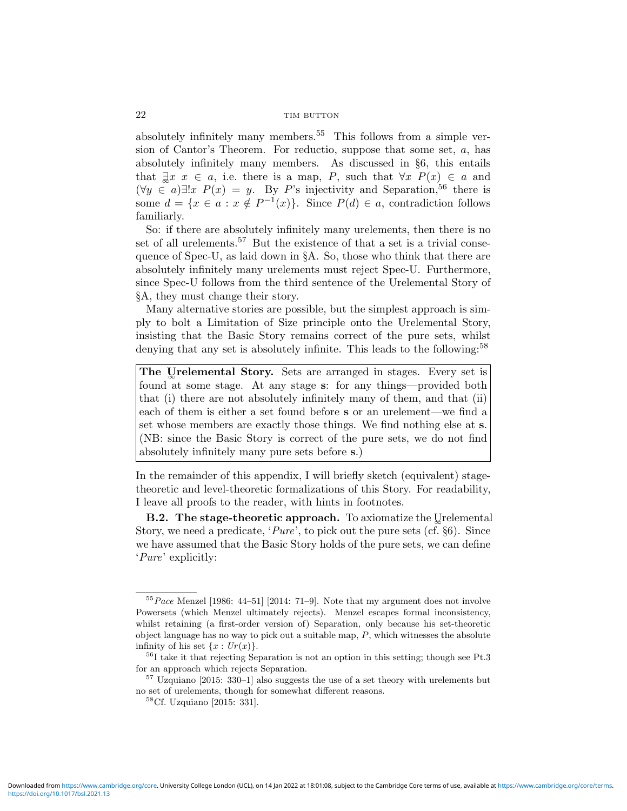absolutely infinitely many members.<sup>55</sup> This follows from a simple version of Cantor's Theorem. For reductio, suppose that some set, a, has absolutely infinitely many members. As discussed in §6, this entails that  $\exists x \ x \in a$ , i.e. there is a map, P, such that  $\forall x \ P(x) \in a$  and  $(\forall y \in a) \exists ! x \ P(x) = y$ . By P's injectivity and Separation,<sup>56</sup> there is some  $d = \{x \in a : x \notin P^{-1}(x)\}.$  Since  $P(d) \in a$ , contradiction follows familiarly.

So: if there are absolutely infinitely many urelements, then there is no set of all urelements.<sup>57</sup> But the existence of that a set is a trivial consequence of Spec-U, as laid down in §A. So, those who think that there are absolutely infinitely many urelements must reject Spec-U. Furthermore, since Spec-U follows from the third sentence of the Urelemental Story of §A, they must change their story.

Many alternative stories are possible, but the simplest approach is simply to bolt a Limitation of Size principle onto the Urelemental Story, insisting that the Basic Story remains correct of the pure sets, whilst denying that any set is absolutely infinite. This leads to the following:<sup>58</sup>

The Urelemental Story. Sets are arranged in stages. Every set is found at some stage. At any stage s: for any things—provided both that (i) there are not absolutely infinitely many of them, and that (ii) each of them is either a set found before s or an urelement—we find a set whose members are exactly those things. We find nothing else at s. (NB: since the Basic Story is correct of the pure sets, we do not find absolutely infinitely many pure sets before s.)

In the remainder of this appendix, I will briefly sketch (equivalent) stagetheoretic and level-theoretic formalizations of this Story. For readability, I leave all proofs to the reader, with hints in footnotes.

B.2. The stage-theoretic approach. To axiomatize the Urelemental Story, we need a predicate, 'Pure', to pick out the pure sets (cf. §6). Since we have assumed that the Basic Story holds of the pure sets, we can define 'Pure' explicitly:

 $55Pace$  Menzel [1986: 44-51] [2014: 71-9]. Note that my argument does not involve Powersets (which Menzel ultimately rejects). Menzel escapes formal inconsistency, whilst retaining (a first-order version of) Separation, only because his set-theoretic object language has no way to pick out a suitable map,  $P$ , which witnesses the absolute infinity of his set  $\{x: Ur(x)\}.$ 

 ${}^{56}$ I take it that rejecting Separation is not an option in this setting; though see Pt.3 for an approach which rejects Separation.

 $57$  Uzquiano [2015: 330–1] also suggests the use of a set theory with urelements but no set of urelements, though for somewhat different reasons.

<sup>58</sup>Cf. Uzquiano [2015: 331].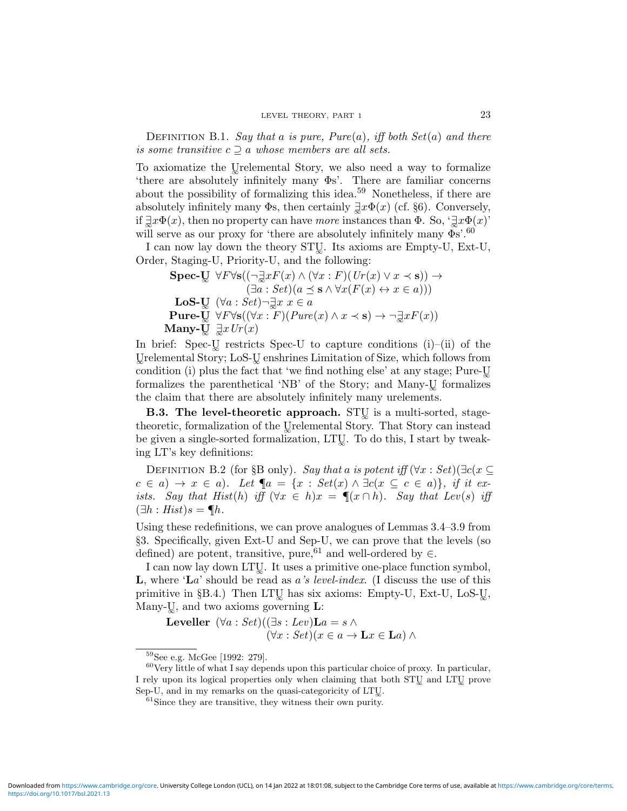DEFINITION B.1. Say that a is pure,  $Pure(a)$ , iff both  $Set(a)$  and there is some transitive  $c \supset a$  whose members are all sets.

To axiomatize the Usrelemental Story, we also need a way to formalize 'there are absolutely infinitely many Φs'. There are familiar concerns about the possibility of formalizing this idea.<sup>59</sup> Nonetheless, if there are absolutely infinitely many  $\Phi$ s, then certainly  $\exists x \Phi(x)$  (cf. §6). Conversely, if  $\exists x \Phi(x)$ , then no property can have more instances than  $\Phi$ . So, ' $\exists x \Phi(x)$ ' will serve as our proxy for 'there are absolutely infinitely many  $\Phi$ s'.<sup>60</sup>

I can now lay down the theory STU. Its axioms are Empty-U, Ext-U, Order, Staging-U, Priority-U, and the following:

 $\textbf{Spec-}\&\forall F\forall \mathbf{s}((\neg\exists xF(x)\wedge(\forall x:F)(\mathit{Ur}(x)\vee x\prec\mathbf{s}))\rightarrow$  $(\exists a : Set)(a \preceq s \land \forall x (F(x) \leftrightarrow x \in a)))$ LoS-U $(\forall a : Set) \neg \exists x \ x \in a$ Pure-Uv $\forall F \forall s ((\forall x : F)(Pure(x) \land x \prec s) \rightarrow \neg \exists x F(x))$ Many- $\overline{U} \exists x Ur(x)$ 

In brief: Spec-U restricts Spec-U to capture conditions  $(i)$ – $(ii)$  of the Urelemental Story; LoS-U enshrines Limitation of Size, which follows from condition (i) plus the fact that 'we find nothing else' at any stage; Pure-U formalizes the parenthetical 'NB' of the Story; and Many-U<sub>w</sub> formalizes the claim that there are absolutely infinitely many urelements.

B.3. The level-theoretic approach. STU is a multi-sorted, stagetheoretic, formalization of the Uselemental Story. That Story can instead be given a single-sorted formalization, LTU. To do this, I start by tweaking LT's key definitions:

DEFINITION B.2 (for §B only). Say that a is potent iff  $(\forall x : Set) \exists c(x \subseteq$  $c \in a$ )  $\rightarrow x \in a$ ). Let  $\P a = \{x : Set(x) \wedge \exists c(x \subseteq c \in a) \}, \text{ if it } ex$ ists. Say that Hist(h) iff  $(\forall x \in h)x = \P(x \cap h)$ . Say that Lev(s) iff  $(\exists h : Hist)s = \P h.$ 

Using these redefinitions, we can prove analogues of Lemmas 3.4–3.9 from §3. Specifically, given Ext-U and Sep-U, we can prove that the levels (so defined) are potent, transitive, pure,<sup>61</sup> and well-ordered by  $\in$ .

I can now lay down LTU. It uses a primitive one-place function symbol, **L**, where ' $\mathbf{L}a$ ' should be read as a's level-index. (I discuss the use of this primitive in  $\S B.4$ .) Then LTU has six axioms: Empty-U, Ext-U, LoS-U, Many- $\mathbb{U}$ , and two axioms governing  $\mathbf{L}$ :

Leveller  $(\forall a : Set)((\exists s : Lev)\mathbf{L}a = s \land$  $(\forall x : Set)(x \in a \rightarrow \mathbf{L}x \in \mathbf{L}a) \land$ 

<sup>59</sup>See e.g. McGee [1992: 279].

 $60$ Very little of what I say depends upon this particular choice of proxy. In particular, I rely upon its logical properties only when claiming that both STU and LTU prove Sep-U, and in my remarks on the quasi-categoricity of LTU.

 $61$ Since they are transitive, they witness their own purity.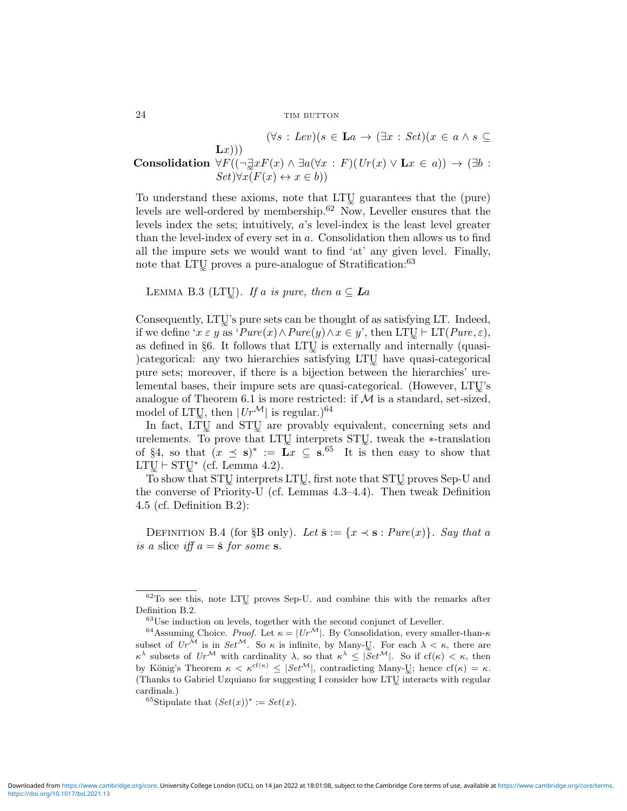$(\forall s : Lev)(s \in \mathbf{L}a \rightarrow (\exists x : Set)(x \in a \land s \subseteq$  $L(x))$ Consolidation  $\forall F((\neg \exists x F(x) \land \exists a(\forall x : F)(Ur(x) \lor \mathbf{L}x \in a)) \rightarrow (\exists b :$  $Set\forall x(F(x) \leftrightarrow x \in b)$ 

To understand these axioms, note that LTU guarantees that the (pure) levels are well-ordered by membership.<sup>62</sup> Now, Leveller ensures that the levels index the sets; intuitively,  $a$ 's level-index is the least level greater than the level-index of every set in a. Consolidation then allows us to find all the impure sets we would want to find 'at' any given level. Finally, note that LTU proves a pure-analogue of Stratification:<sup>63</sup>

LEMMA B.3 (LTU). If a is pure, then  $a \subseteq La$ 

Consequently, LTU's pure sets can be thought of as satisfying LT. Indeed, if we define ' $x \in y$  as ' $Pure(x) \wedge Pure(y) \wedge x \in y'$ , then LTU  $\vdash$  LT( $Pure, \varepsilon$ ), as defined in §6. It follows that LTU is externally and internally (quasi-)categorical: any two hierarchies satisfying LTU have quasi-categorical pure sets; moreover, if there is a bijection between the hierarchies' urelemental bases, their impure sets are quasi-categorical. (However, LTU's analogue of Theorem 6.1 is more restricted: if  $M$  is a standard, set-sized, model of LTU, then  $|Ur^{\mathcal{M}}|$  is regular.)<sup>64</sup>

In fact, LTU and STU are provably equivalent, concerning sets and urelements. To prove that LTU interprets STU, tweak the ∗-translation of §4, so that  $(x \leq s)^* := \overline{L}x \subseteq s^{.65}$  It is then easy to show that  $LTU \vdash STU^*$  (cf. Lemma 4.2).

To show that STU interprets LTU, first note that STU proves Sep-U and the converse of Priority-U (cf. Lemmas 4.3–4.4). Then tweak Definition 4.5 (cf. Definition B.2):

DEFINITION B.4 (for §B only). Let  $\check{\mathbf{s}} := \{x \prec \mathbf{s} : Pure(x)\}\$ . Say that a is a slice iff  $a = \check{\mathbf{s}}$  for some s.

 $62$ To see this, note LTU proves Sep-U, and combine this with the remarks after Definition B.2.

 $63$ Use induction on levels, together with the second conjunct of Leveller.

<sup>&</sup>lt;sup>64</sup>Assuming Choice. *Proof.* Let  $\kappa = |Ur^{\mathcal{M}}|$ . By Consolidation, every smaller-than- $\kappa$ subset of  $Ur^{\mathcal{M}}$  is in  $Set^{\mathcal{M}}$ . So  $\kappa$  is infinite, by Many-U<sub>i</sub>. For each  $\lambda < \kappa$ , there are  $\kappa^{\lambda}$  subsets of  $Ur^{\mathcal{M}}$  with cardinality  $\lambda$ , so that  $\kappa^{\lambda} \leq |\mathcal{S}et^{\mathcal{M}}|$ . So if  $cf(\kappa) < \kappa$ , then by König's Theorem  $\kappa < \kappa^{cf(\kappa)} \leq |\mathcal{S}et^{\mathcal{M}}|$ , contradicting Many-U<sub>i</sub>; hence  $cf(\kappa) = \kappa$ . (Thanks to Gabriel Uzquiano for suggesting I consider how LTU interacts with regular cardinals.)

<sup>&</sup>lt;sup>65</sup>Stipulate that  $(Set(x))^* := Set(x)$ .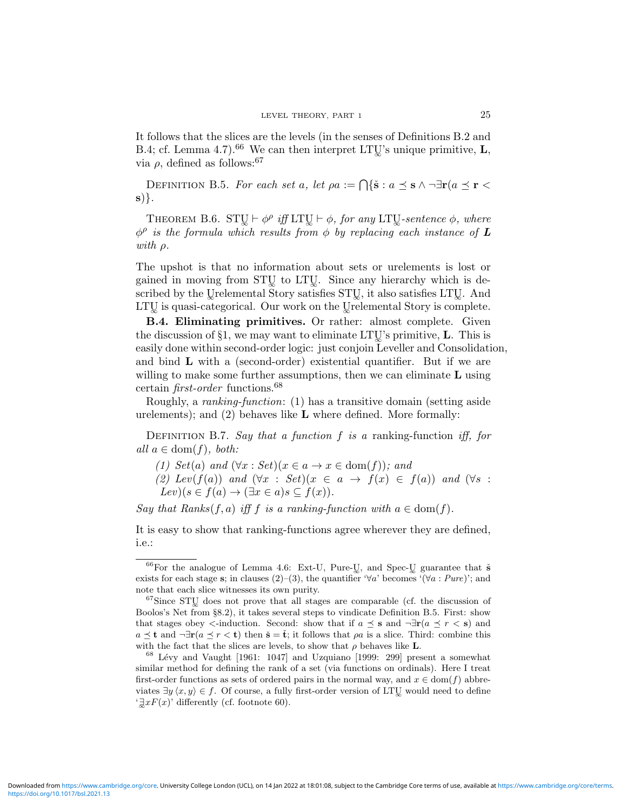It follows that the slices are the levels (in the senses of Definitions B.2 and B.4; cf. Lemma 4.7).<sup>66</sup> We can then interpret LTU's unique primitive, **L**, via  $\rho$ , defined as follows:<sup>67</sup>

DEFINITION B.5. For each set a, let  $\rho a := \bigcap \{ \check{s} : a \preceq s \land \neg \exists r (a \preceq r \prec s) \}$ s)}.

THEOREM B.6.  $STU \vdash \phi^{\rho}$  iff LTU $\vdash \phi$ , for any LTU-sentence  $\phi$ , where  $\phi^{\rho}$  is the formula which results from  $\phi$  by replacing each instance of L with ρ.

The upshot is that no information about sets or urelements is lost or gained in moving from STU to LTU. Since any hierarchy which is described by the Urelemental Story satisfies STU, it also satisfies LTU. And  $LTU$  is quasi-categorical. Our work on the Urelemental Story is complete.

B.4. Eliminating primitives. Or rather: almost complete. Given the discussion of §1, we may want to eliminate LTU's primitive,  $\bf{L}$ . This is easily done within second-order logic: just conjoin Leveller and Consolidation, and bind L with a (second-order) existential quantifier. But if we are willing to make some further assumptions, then we can eliminate  $L$  using certain *first-order* functions.<sup>68</sup>

Roughly, a ranking-function: (1) has a transitive domain (setting aside urelements); and  $(2)$  behaves like **L** where defined. More formally:

DEFINITION B.7. Say that a function f is a ranking-function iff, for all  $a \in \text{dom}(f)$ , both:

- (1) Set(a) and  $(\forall x : Set)(x \in a \rightarrow x \in \text{dom}(f));$  and
- (2) Lev(f(a)) and  $(\forall x : Set)(x \in a \rightarrow f(x) \in f(a))$  and  $(\forall s :$  $Lev(s \in f(a) \rightarrow (\exists x \in a) s \subseteq f(x)).$

Say that Ranks(f, a) iff f is a ranking-function with  $a \in \text{dom}(f)$ .

It is easy to show that ranking-functions agree wherever they are defined, i.e.:

 $66$  For the analogue of Lemma 4.6: Ext-U, Pure-U<sub>s</sub>, and Spec-U<sub>s</sub> guarantee that  $\check{\mathbf{s}}$ exists for each stage s; in clauses (2)–(3), the quantifier ' $\forall a'$  becomes '( $\forall a : Pure$ )'; and note that each slice witnesses its own purity.

 $67$ Since STU does not prove that all stages are comparable (cf. the discussion of Boolos's Net from §8.2), it takes several steps to vindicate Definition B.5. First: show that stages obey  $\lt$ -induction. Second: show that if  $a \preceq s$  and  $\neg \exists r(a \preceq r \lt s)$  and  $a \preceq t$  and  $\neg \exists \mathbf{r}(a \preceq r \preceq t)$  then  $\check{\mathbf{s}} = \check{\mathbf{t}}$ ; it follows that  $\rho a$  is a slice. Third: combine this with the fact that the slices are levels, to show that  $\rho$  behaves like **L**.

 $68$  Lévy and Vaught [1961: 1047] and Uzquiano [1999: 299] present a somewhat similar method for defining the rank of a set (via functions on ordinals). Here I treat first-order functions as sets of ordered pairs in the normal way, and  $x \in \text{dom}(f)$  abbreviates  $\exists y \langle x, y \rangle \in f$ . Of course, a fully first-order version of LTU would need to define  $\exists x F(x)$ ' differently (cf. footnote 60).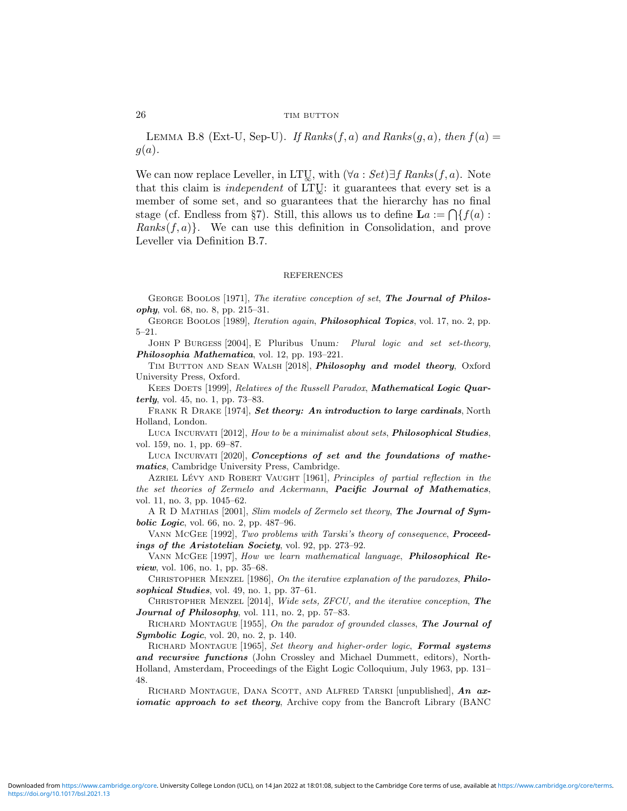LEMMA B.8 (Ext-U, Sep-U). If Ranks $(f, a)$  and Ranks $(g, a)$ , then  $f(a) =$  $g(a)$ .

We can now replace Leveller, in LTU<sub>s</sub>, with  $(\forall a : Set) \exists f$  Ranks(f, a). Note that this claim is *independent* of LTU $\colon$  it guarantees that every set is a member of some set, and so guarantees that the hierarchy has no final stage (cf. Endless from §7). Still, this allows us to define  $\mathbf{L}a := \bigcap \{f(a) :$ Ranks $(f, a)$ . We can use this definition in Consolidation, and prove Leveller via Definition B.7.

#### REFERENCES

GEORGE BOOLOS [1971], The iterative conception of set, The Journal of Philosophy, vol. 68, no. 8, pp. 215–31.

GEORGE BOOLOS [1989], *Iteration again*, *Philosophical Topics*, vol. 17, no. 2, pp. 5–21.

JOHN P BURGESS [2004], E Pluribus Unum: Plural logic and set set-theory, Philosophia Mathematica, vol. 12, pp. 193–221.

TIM BUTTON AND SEAN WALSH [2018], Philosophy and model theory, Oxford University Press, Oxford.

KEES DOETS [1999], Relatives of the Russell Paradox, Mathematical Logic Quarterly, vol. 45, no. 1, pp. 73–83.

FRANK R DRAKE [1974], Set theory: An introduction to large cardinals, North Holland, London.

LUCA INCURVATI [2012], How to be a minimalist about sets, *Philosophical Studies*, vol. 159, no. 1, pp. 69–87.

LUCA INCURVATI [2020], Conceptions of set and the foundations of mathematics, Cambridge University Press, Cambridge.

AZRIEL LÉVY AND ROBERT VAUGHT [1961], *Principles of partial reflection in the* the set theories of Zermelo and Ackermann, Pacific Journal of Mathematics, vol. 11, no. 3, pp. 1045–62.

A R D MATHIAS [2001], Slim models of Zermelo set theory, The Journal of Sym**bolic Logic**, vol. 66, no. 2, pp. 487-96.

VANN McGEE [1992], Two problems with Tarski's theory of consequence, **Proceed**ings of the Aristotelian Society, vol. 92, pp. 273-92.

Vann McGee [1997], How we learn mathematical language, Philosophical Review, vol. 106, no. 1, pp. 35–68.

CHRISTOPHER MENZEL [1986], On the iterative explanation of the paradoxes, Philosophical Studies, vol. 49, no. 1, pp. 37-61.

CHRISTOPHER MENZEL  $[2014]$ , Wide sets, ZFCU, and the iterative conception, The Journal of Philosophy, vol. 111, no. 2, pp. 57-83.

RICHARD MONTAGUE [1955], On the paradox of grounded classes, The Journal of Symbolic Logic, vol. 20, no. 2, p. 140.

RICHARD MONTAGUE [1965], Set theory and higher-order logic, Formal systems and recursive functions (John Crossley and Michael Dummett, editors), North-Holland, Amsterdam, Proceedings of the Eight Logic Colloquium, July 1963, pp. 131– 48.

RICHARD MONTAGUE, DANA SCOTT, AND ALFRED TARSKI [unpublished], An axiomatic approach to set theory, Archive copy from the Bancroft Library (BANC